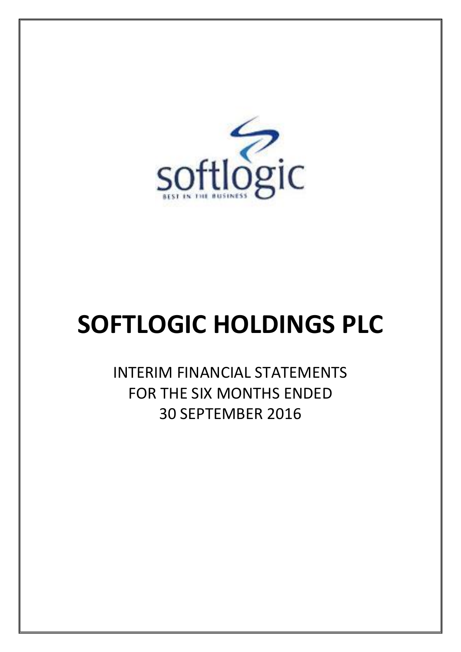

# **SOFTLOGIC HOLDINGS PLC**

INTERIM FINANCIAL STATEMENTS FOR THE SIX MONTHS ENDED 30 SEPTEMBER 2016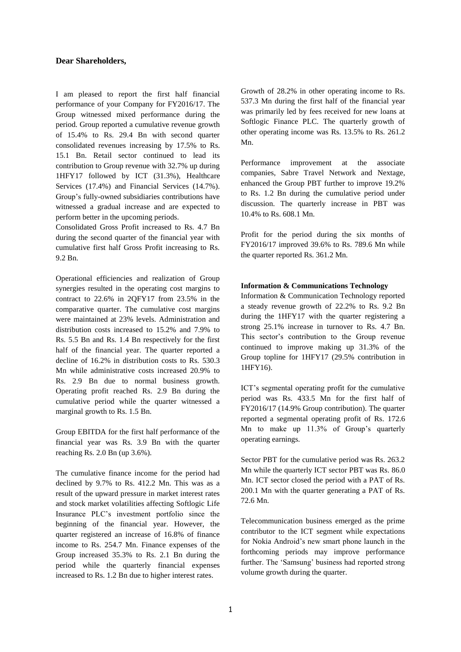## **Dear Shareholders,**

I am pleased to report the first half financial performance of your Company for FY2016/17. The Group witnessed mixed performance during the period. Group reported a cumulative revenue growth of 15.4% to Rs. 29.4 Bn with second quarter consolidated revenues increasing by 17.5% to Rs. 15.1 Bn. Retail sector continued to lead its contribution to Group revenue with 32.7% up during 1HFY17 followed by ICT (31.3%), Healthcare Services (17.4%) and Financial Services (14.7%). Group's fully-owned subsidiaries contributions have witnessed a gradual increase and are expected to perform better in the upcoming periods.

Consolidated Gross Profit increased to Rs. 4.7 Bn during the second quarter of the financial year with cumulative first half Gross Profit increasing to Rs. 9.2 Bn.

Operational efficiencies and realization of Group synergies resulted in the operating cost margins to contract to 22.6% in 2QFY17 from 23.5% in the comparative quarter. The cumulative cost margins were maintained at 23% levels. Administration and distribution costs increased to 15.2% and 7.9% to Rs. 5.5 Bn and Rs. 1.4 Bn respectively for the first half of the financial year. The quarter reported a decline of 16.2% in distribution costs to Rs. 530.3 Mn while administrative costs increased 20.9% to Rs. 2.9 Bn due to normal business growth. Operating profit reached Rs. 2.9 Bn during the cumulative period while the quarter witnessed a marginal growth to Rs. 1.5 Bn.

Group EBITDA for the first half performance of the financial year was Rs. 3.9 Bn with the quarter reaching Rs. 2.0 Bn (up 3.6%).

The cumulative finance income for the period had declined by 9.7% to Rs. 412.2 Mn. This was as a result of the upward pressure in market interest rates and stock market volatilities affecting Softlogic Life Insurance PLC's investment portfolio since the beginning of the financial year. However, the quarter registered an increase of 16.8% of finance income to Rs. 254.7 Mn. Finance expenses of the Group increased 35.3% to Rs. 2.1 Bn during the period while the quarterly financial expenses increased to Rs. 1.2 Bn due to higher interest rates.

Growth of 28.2% in other operating income to Rs. 537.3 Mn during the first half of the financial year was primarily led by fees received for new loans at Softlogic Finance PLC. The quarterly growth of other operating income was Rs. 13.5% to Rs. 261.2 Mn.

Performance improvement at the associate companies, Sabre Travel Network and Nextage, enhanced the Group PBT further to improve 19.2% to Rs. 1.2 Bn during the cumulative period under discussion. The quarterly increase in PBT was 10.4% to Rs. 608.1 Mn.

Profit for the period during the six months of FY2016/17 improved 39.6% to Rs. 789.6 Mn while the quarter reported Rs. 361.2 Mn.

## **Information & Communications Technology**

Information & Communication Technology reported a steady revenue growth of 22.2% to Rs. 9.2 Bn during the 1HFY17 with the quarter registering a strong 25.1% increase in turnover to Rs. 4.7 Bn. This sector's contribution to the Group revenue continued to improve making up 31.3% of the Group topline for 1HFY17 (29.5% contribution in 1HFY16).

ICT's segmental operating profit for the cumulative period was Rs. 433.5 Mn for the first half of FY2016/17 (14.9% Group contribution). The quarter reported a segmental operating profit of Rs. 172.6 Mn to make up 11.3% of Group's quarterly operating earnings.

Sector PBT for the cumulative period was Rs. 263.2 Mn while the quarterly ICT sector PBT was Rs. 86.0 Mn. ICT sector closed the period with a PAT of Rs. 200.1 Mn with the quarter generating a PAT of Rs. 72.6 Mn.

Telecommunication business emerged as the prime contributor to the ICT segment while expectations for Nokia Android's new smart phone launch in the forthcoming periods may improve performance further. The 'Samsung' business had reported strong volume growth during the quarter.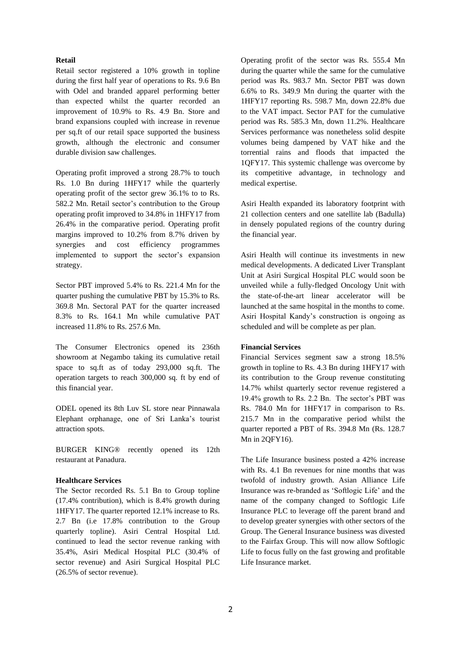## **Retail**

Retail sector registered a 10% growth in topline during the first half year of operations to Rs. 9.6 Bn with Odel and branded apparel performing better than expected whilst the quarter recorded an improvement of 10.9% to Rs. 4.9 Bn. Store and brand expansions coupled with increase in revenue per sq.ft of our retail space supported the business growth, although the electronic and consumer durable division saw challenges.

Operating profit improved a strong 28.7% to touch Rs. 1.0 Bn during 1HFY17 while the quarterly operating profit of the sector grew 36.1% to to Rs. 582.2 Mn. Retail sector's contribution to the Group operating profit improved to 34.8% in 1HFY17 from 26.4% in the comparative period. Operating profit margins improved to 10.2% from 8.7% driven by synergies and cost efficiency programmes implemented to support the sector's expansion strategy.

Sector PBT improved 5.4% to Rs. 221.4 Mn for the quarter pushing the cumulative PBT by 15.3% to Rs. 369.8 Mn. Sectoral PAT for the quarter increased 8.3% to Rs. 164.1 Mn while cumulative PAT increased 11.8% to Rs. 257.6 Mn.

The Consumer Electronics opened its 236th showroom at Negambo taking its cumulative retail space to sq.ft as of today 293,000 sq.ft. The operation targets to reach 300,000 sq. ft by end of this financial year.

ODEL opened its 8th Luv SL store near Pinnawala Elephant orphanage, one of Sri Lanka's tourist attraction spots.

BURGER KING® recently opened its 12th restaurant at Panadura.

## **Healthcare Services**

The Sector recorded Rs. 5.1 Bn to Group topline (17.4% contribution), which is 8.4% growth during 1HFY17. The quarter reported 12.1% increase to Rs. 2.7 Bn (i.e 17.8% contribution to the Group quarterly topline). Asiri Central Hospital Ltd. continued to lead the sector revenue ranking with 35.4%, Asiri Medical Hospital PLC (30.4% of sector revenue) and Asiri Surgical Hospital PLC (26.5% of sector revenue).

Operating profit of the sector was Rs. 555.4 Mn during the quarter while the same for the cumulative period was Rs. 983.7 Mn. Sector PBT was down 6.6% to Rs. 349.9 Mn during the quarter with the 1HFY17 reporting Rs. 598.7 Mn, down 22.8% due to the VAT impact. Sector PAT for the cumulative period was Rs. 585.3 Mn, down 11.2%. Healthcare Services performance was nonetheless solid despite volumes being dampened by VAT hike and the torrential rains and floods that impacted the 1QFY17. This systemic challenge was overcome by its competitive advantage, in technology and medical expertise.

Asiri Health expanded its laboratory footprint with 21 collection centers and one satellite lab (Badulla) in densely populated regions of the country during the financial year.

Asiri Health will continue its investments in new medical developments. A dedicated Liver Transplant Unit at Asiri Surgical Hospital PLC would soon be unveiled while a fully-fledged Oncology Unit with the state-of-the-art linear accelerator will be launched at the same hospital in the months to come. Asiri Hospital Kandy's construction is ongoing as scheduled and will be complete as per plan.

## **Financial Services**

Financial Services segment saw a strong 18.5% growth in topline to Rs. 4.3 Bn during 1HFY17 with its contribution to the Group revenue constituting 14.7% whilst quarterly sector revenue registered a 19.4% growth to Rs. 2.2 Bn. The sector's PBT was Rs. 784.0 Mn for 1HFY17 in comparison to Rs. 215.7 Mn in the comparative period whilst the quarter reported a PBT of Rs. 394.8 Mn (Rs. 128.7 Mn in 2QFY16).

The Life Insurance business posted a 42% increase with Rs. 4.1 Bn revenues for nine months that was twofold of industry growth. Asian Alliance Life Insurance was re-branded as 'Softlogic Life' and the name of the company changed to Softlogic Life Insurance PLC to leverage off the parent brand and to develop greater synergies with other sectors of the Group. The General Insurance business was divested to the Fairfax Group. This will now allow Softlogic Life to focus fully on the fast growing and profitable Life Insurance market.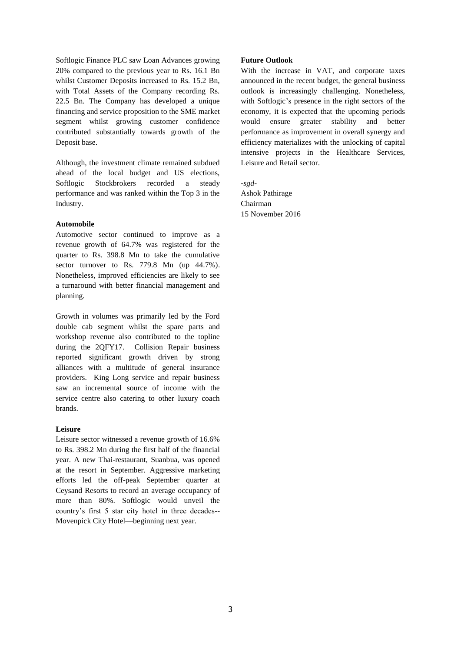Softlogic Finance PLC saw Loan Advances growing 20% compared to the previous year to Rs. 16.1 Bn whilst Customer Deposits increased to Rs. 15.2 Bn, with Total Assets of the Company recording Rs. 22.5 Bn. The Company has developed a unique financing and service proposition to the SME market segment whilst growing customer confidence contributed substantially towards growth of the Deposit base.

Although, the investment climate remained subdued ahead of the local budget and US elections, Softlogic Stockbrokers recorded a steady performance and was ranked within the Top 3 in the Industry.

## **Automobile**

Automotive sector continued to improve as a revenue growth of 64.7% was registered for the quarter to Rs. 398.8 Mn to take the cumulative sector turnover to Rs. 779.8 Mn (up 44.7%). Nonetheless, improved efficiencies are likely to see a turnaround with better financial management and planning.

Growth in volumes was primarily led by the Ford double cab segment whilst the spare parts and workshop revenue also contributed to the topline during the 2QFY17. Collision Repair business reported significant growth driven by strong alliances with a multitude of general insurance providers. King Long service and repair business saw an incremental source of income with the service centre also catering to other luxury coach brands.

## **Leisure**

Leisure sector witnessed a revenue growth of 16.6% to Rs. 398.2 Mn during the first half of the financial year. A new Thai-restaurant, Suanbua, was opened at the resort in September. Aggressive marketing efforts led the off-peak September quarter at Ceysand Resorts to record an average occupancy of more than 80%. Softlogic would unveil the country's first 5 star city hotel in three decades-- Movenpick City Hotel—beginning next year.

## **Future Outlook**

With the increase in VAT, and corporate taxes announced in the recent budget, the general business outlook is increasingly challenging. Nonetheless, with Softlogic's presence in the right sectors of the economy, it is expected that the upcoming periods would ensure greater stability and better performance as improvement in overall synergy and efficiency materializes with the unlocking of capital intensive projects in the Healthcare Services, Leisure and Retail sector.

*-sgd-*Ashok Pathirage Chairman 15 November 2016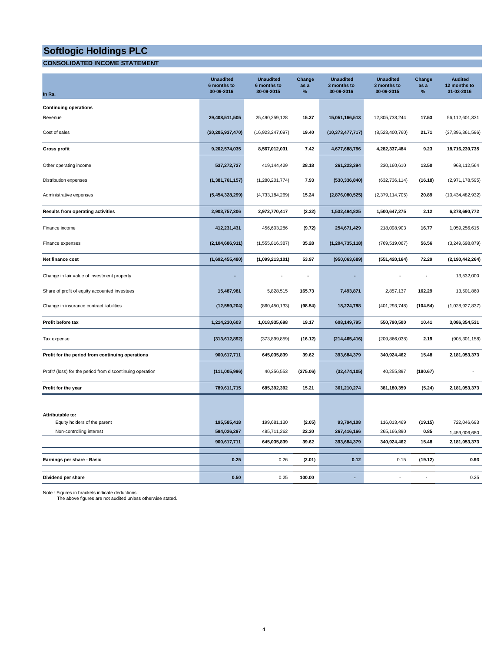## **CONSOLIDATED INCOME STATEMENT**

| In Rs.                                                     | <b>Unaudited</b><br>6 months to<br>30-09-2016 | <b>Unaudited</b><br>6 months to<br>30-09-2015 | Change<br>as a<br>$\%$ | <b>Unaudited</b><br>3 months to<br>30-09-2016 | <b>Unaudited</b><br>3 months to<br>30-09-2015 | Change<br>as a<br>$\%$ | <b>Audited</b><br>12 months to<br>31-03-2016 |
|------------------------------------------------------------|-----------------------------------------------|-----------------------------------------------|------------------------|-----------------------------------------------|-----------------------------------------------|------------------------|----------------------------------------------|
| <b>Continuing operations</b>                               |                                               |                                               |                        |                                               |                                               |                        |                                              |
| Revenue                                                    | 29,408,511,505                                | 25,490,259,128                                | 15.37                  | 15,051,166,513                                | 12,805,738,244                                | 17.53                  | 56,112,601,331                               |
| Cost of sales                                              | (20, 205, 937, 470)                           | (16,923,247,097)                              | 19.40                  | (10, 373, 477, 717)                           | (8,523,400,760)                               | 21.71                  | (37, 396, 361, 596)                          |
| <b>Gross profit</b>                                        | 9,202,574,035                                 | 8,567,012,031                                 | 7.42                   | 4,677,688,796                                 | 4,282,337,484                                 | 9.23                   | 18,716,239,735                               |
| Other operating income                                     | 537,272,727                                   | 419,144,429                                   | 28.18                  | 261,223,394                                   | 230,160,610                                   | 13.50                  | 968,112,564                                  |
| Distribution expenses                                      | (1,381,761,157)                               | (1,280,201,774)                               | 7.93                   | (530, 336, 840)                               | (632, 736, 114)                               | (16.18)                | (2,971,178,595)                              |
| Administrative expenses                                    | (5,454,328,299)                               | (4,733,184,269)                               | 15.24                  | (2,876,080,525)                               | (2,379,114,705)                               | 20.89                  | (10, 434, 482, 932)                          |
| Results from operating activities                          | 2,903,757,306                                 | 2,972,770,417                                 | (2.32)                 | 1,532,494,825                                 | 1,500,647,275                                 | 2.12                   | 6,278,690,772                                |
| Finance income                                             | 412,231,431                                   | 456,603,286                                   | (9.72)                 | 254,671,429                                   | 218,098,903                                   | 16.77                  | 1,059,256,615                                |
| Finance expenses                                           | (2, 104, 686, 911)                            | (1,555,816,387)                               | 35.28                  | (1, 204, 735, 118)                            | (769, 519, 067)                               | 56.56                  | (3,249,698,879)                              |
| Net finance cost                                           | (1,692,455,480)                               | (1,099,213,101)                               | 53.97                  | (950,063,689)                                 | (551, 420, 164)                               | 72.29                  | (2, 190, 442, 264)                           |
| Change in fair value of investment property                |                                               |                                               | Ĩ.                     |                                               |                                               |                        | 13,532,000                                   |
| Share of profit of equity accounted investees              | 15,487,981                                    | 5,828,515                                     | 165.73                 | 7,493,871                                     | 2,857,137                                     | 162.29                 | 13,501,860                                   |
| Change in insurance contract liabilities                   | (12, 559, 204)                                | (860, 450, 133)                               | (98.54)                | 18,224,788                                    | (401, 293, 748)                               | (104.54)               | (1,028,927,837)                              |
| Profit before tax                                          | 1,214,230,603                                 | 1,018,935,698                                 | 19.17                  | 608,149,795                                   | 550,790,500                                   | 10.41                  | 3,086,354,531                                |
| Tax expense                                                | (313, 612, 892)                               | (373, 899, 859)                               | (16.12)                | (214, 465, 416)                               | (209, 866, 038)                               | 2.19                   | (905, 301, 158)                              |
| Profit for the period from continuing operations           | 900,617,711                                   | 645,035,839                                   | 39.62                  | 393,684,379                                   | 340,924,462                                   | 15.48                  | 2,181,053,373                                |
| Profit/ (loss) for the period from discontinuing operation | (111,005,996)                                 | 40,356,553                                    | (375.06)               | (32, 474, 105)                                | 40,255,897                                    | (180.67)               |                                              |
| Profit for the year                                        | 789,611,715                                   | 685,392,392                                   | 15.21                  | 361,210,274                                   | 381,180,359                                   | (5.24)                 | 2,181,053,373                                |
|                                                            |                                               |                                               |                        |                                               |                                               |                        |                                              |
| Attributable to:<br>Equity holders of the parent           | 195,585,418                                   | 199,681,130                                   | (2.05)                 | 93,794,108                                    | 116,013,469                                   | (19.15)                | 722,046,693                                  |
| Non-controlling interest                                   | 594,026,297                                   | 485,711,262                                   | 22.30                  | 267,416,166                                   | 265,166,890                                   | 0.85                   | 1,459,006,680                                |
|                                                            | 900,617,711                                   | 645,035,839                                   | 39.62                  | 393,684,379                                   | 340,924,462                                   | 15.48                  | 2,181,053,373                                |
| Earnings per share - Basic                                 | 0.25                                          | 0.26                                          | (2.01)                 | 0.12                                          | 0.15                                          | (19.12)                | 0.93                                         |
| Dividend per share                                         | 0.50                                          | 0.25                                          | 100.00                 |                                               |                                               |                        | 0.25                                         |

Note : Figures in brackets indicate deductions. The above figures are not audited unless otherwise stated.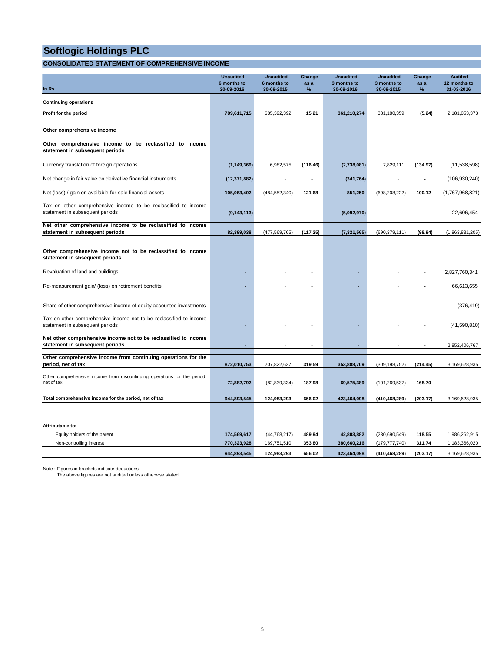## **CONSOLIDATED STATEMENT OF COMPREHENSIVE INCOME**

|                                                                                                       | <b>Unaudited</b>          | <b>Unaudited</b>          | Change       | <b>Unaudited</b>          | <b>Unaudited</b>          | Change    | <b>Audited</b>             |
|-------------------------------------------------------------------------------------------------------|---------------------------|---------------------------|--------------|---------------------------|---------------------------|-----------|----------------------------|
| In Rs.                                                                                                | 6 months to<br>30-09-2016 | 6 months to<br>30-09-2015 | as a<br>$\%$ | 3 months to<br>30-09-2016 | 3 months to<br>30-09-2015 | as a<br>% | 12 months to<br>31-03-2016 |
| <b>Continuing operations</b>                                                                          |                           |                           |              |                           |                           |           |                            |
| Profit for the period                                                                                 | 789,611,715               | 685,392,392               | 15.21        | 361,210,274               | 381,180,359               | (5.24)    | 2,181,053,373              |
| Other comprehensive income                                                                            |                           |                           |              |                           |                           |           |                            |
| Other comprehensive income to be reclassified to income<br>statement in subsequent periods            |                           |                           |              |                           |                           |           |                            |
| Currency translation of foreign operations                                                            | (1, 149, 369)             | 6,982,575                 | (116.46)     | (2,738,081)               | 7,829,111                 | (134.97)  | (11, 538, 598)             |
| Net change in fair value on derivative financial instruments                                          | (12, 371, 882)            |                           |              | (341, 764)                |                           |           | (106, 930, 240)            |
| Net (loss) / gain on available-for-sale financial assets                                              | 105,063,402               | (484, 552, 340)           | 121.68       | 851,250                   | (698, 208, 222)           | 100.12    | (1,767,968,821)            |
| Tax on other comprehensive income to be reclassified to income<br>statement in subsequent periods     | (9, 143, 113)             |                           |              | (5,092,970)               |                           |           | 22,606,454                 |
| Net other comprehensive income to be reclassified to income<br>statement in subsequent periods        | 82,399,038                | (477, 569, 765)           | (117.25)     | (7, 321, 565)             | (690, 379, 111)           | (98.94)   | (1,863,831,205)            |
| Other comprehensive income not to be reclassified to income<br>statement in sbsequent periods         |                           |                           |              |                           |                           |           |                            |
| Revaluation of land and buildings                                                                     |                           |                           |              |                           |                           |           | 2,827,760,341              |
| Re-measurement gain/ (loss) on retirement benefits                                                    |                           |                           |              |                           |                           |           | 66.613.655                 |
| Share of other comprehensive income of equity accounted investments                                   |                           |                           |              |                           |                           |           | (376, 419)                 |
| Tax on other comprehensive income not to be reclassified to income<br>statement in subsequent periods |                           |                           |              |                           |                           |           | (41,590,810)               |
| Net other comprehensive income not to be reclassified to income<br>statement in subsequent periods    |                           |                           |              |                           |                           |           | 2,852,406,767              |
| Other comprehensive income from continuing operations for the                                         |                           |                           |              |                           |                           |           |                            |
| period, net of tax                                                                                    | 872,010,753               | 207,822,627               | 319.59       | 353,888,709               | (309, 198, 752)           | (214.45)  | 3,169,628,935              |
| Other comprehensive income from discontinuing operations for the period,<br>net of tax                | 72,882,792                | (82, 839, 334)            | 187.98       | 69,575,389                | (101, 269, 537)           | 168.70    |                            |
| Total comprehensive income for the period, net of tax                                                 | 944,893,545               | 124,983,293               | 656.02       | 423,464,098               | (410,468,289)             | (203.17)  | 3.169.628.935              |
|                                                                                                       |                           |                           |              |                           |                           |           |                            |
| Attributable to:                                                                                      |                           |                           |              |                           |                           |           |                            |
| Equity holders of the parent                                                                          | 174,569,617               | (44, 768, 217)            | 489.94       | 42,803,882                | (230,690,549)             | 118.55    | 1,986,262,915              |
| Non-controlling interest                                                                              | 770,323,928               | 169,751,510               | 353.80       | 380,660,216               | (179, 777, 740)           | 311.74    | 1,183,366,020              |
|                                                                                                       | 944,893,545               | 124,983,293               | 656.02       | 423,464,098               | (410, 468, 289)           | (203.17)  | 3,169,628,935              |

Note : Figures in brackets indicate deductions. The above figures are not audited unless otherwise stated.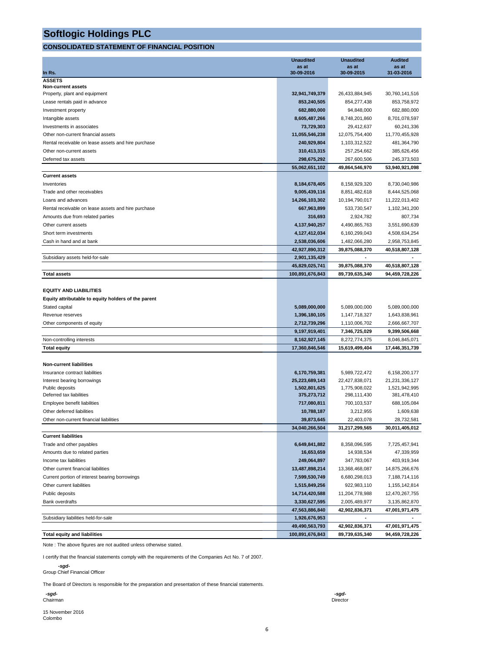## **CONSOLIDATED STATEMENT OF FINANCIAL POSITION**

|                                                     | <b>Unaudited</b> | <b>Unaudited</b> | <b>Audited</b> |
|-----------------------------------------------------|------------------|------------------|----------------|
| In Rs.                                              | as at            | as at            | as at          |
| <b>ASSETS</b>                                       | 30-09-2016       | 30-09-2015       | 31-03-2016     |
| <b>Non-current assets</b>                           |                  |                  |                |
| Property, plant and equipment                       | 32,941,749,379   | 26,433,884,945   | 30,760,141,516 |
| Lease rentals paid in advance                       | 853,240,505      | 854,277,438      | 853,758,972    |
| Investment property                                 | 682,880,000      | 94,848,000       | 682,880,000    |
| Intangible assets                                   | 8,605,487,266    | 8,748,201,860    | 8,701,078,597  |
| Investments in associates                           | 73,729,303       | 29,412,637       | 60,241,336     |
| Other non-current financial assets                  | 11,055,546,238   | 12,075,754,400   | 11,770,455,928 |
| Rental receivable on lease assets and hire purchase | 240,929,804      | 1,103,312,522    | 481,364,790    |
| Other non-current assets                            | 310,413,315      | 257,254,662      | 385,626,456    |
| Deferred tax assets                                 | 298,675,292      | 267,600,506      | 245,373,503    |
|                                                     | 55,062,651,102   | 49,864,546,970   | 53,940,921,098 |
| <b>Current assets</b>                               |                  |                  |                |
| Inventories                                         | 8,184,678,405    | 8,158,929,320    | 8,730,040,986  |
| Trade and other receivables                         | 9,005,439,116    | 8,851,482,618    | 8,444,525,068  |
| Loans and advances                                  | 14,266,103,302   | 10,194,790,017   | 11,222,013,402 |
| Rental receivable on lease assets and hire purchase | 667,963,899      | 533,730,547      | 1,102,341,200  |
| Amounts due from related parties                    | 316,693          | 2,924,782        | 807.734        |
| Other current assets                                | 4,137,940,257    | 4,490,865,763    | 3,551,690,639  |
| Short term investments                              | 4,127,412,034    | 6,160,299,043    | 4,508,634,254  |
| Cash in hand and at bank                            | 2,538,036,606    | 1,482,066,280    | 2,958,753,845  |
|                                                     | 42,927,890,312   | 39,875,088,370   | 40,518,807,128 |
| Subsidiary assets held-for-sale                     | 2,901,135,429    |                  |                |
|                                                     | 45,829,025,741   | 39,875,088,370   | 40,518,807,128 |
| <b>Total assets</b>                                 | 100,891,676,843  | 89,739,635,340   | 94,459,728,226 |
| <b>EQUITY AND LIABILITIES</b>                       |                  |                  |                |
| Equity attributable to equity holders of the parent |                  |                  |                |
| Stated capital                                      | 5,089,000,000    | 5,089,000,000    | 5,089,000,000  |
| Revenue reserves                                    | 1,396,180,105    | 1,147,718,327    | 1,643,838,961  |
| Other components of equity                          | 2,712,739,296    | 1,110,006,702    | 2,666,667,707  |
|                                                     | 9,197,919,401    | 7,346,725,029    | 9,399,506,668  |
| Non-controlling interests                           | 8,162,927,145    | 8,272,774,375    | 8,046,845,071  |
| <b>Total equity</b>                                 | 17,360,846,546   | 15,619,499,404   | 17,446,351,739 |
|                                                     |                  |                  |                |
| <b>Non-current liabilities</b>                      |                  |                  |                |
| Insurance contract liabilities                      | 6,170,759,381    | 5,989,722,472    | 6,158,200,177  |
| Interest bearing borrowings                         | 25,223,689,143   | 22,427,838,071   | 21,231,336,127 |
| Public deposits                                     | 1,502,801,625    | 1,775,908,022    | 1,521,942,995  |
| Deferred tax liabilities                            | 375,273,712      | 298,111,430      | 381,478,410    |
| Employee benefit liabilities                        | 717,080,811      | 700,103,537      | 688,105,084    |
| Other deferred liabilities                          | 10,788,187       | 3,212,955        | 1,609,638      |
| Other non-current financial liabilities             | 39,873,645       | 22,403,078       | 28,732,581     |
|                                                     | 34,040,266,504   | 31,217,299,565   | 30,011,405,012 |
| <b>Current liabilities</b>                          |                  |                  |                |
| Trade and other payables                            | 6,649,841,882    | 8,358,096,595    | 7,725,457,941  |
| Amounts due to related parties                      | 16,653,659       | 14,938,534       | 47,339,959     |
| Income tax liabilities                              | 249,064,897      | 347,783,067      | 403,919,344    |
| Other current financial liabilities                 | 13,487,898,214   | 13,368,468,087   | 14,875,266,676 |
| Current portion of interest bearing borrowings      | 7,599,530,749    | 6,680,298,013    | 7,188,714,116  |
| Other current liabilities                           | 1,515,849,256    | 922,983,110      | 1,155,142,814  |
| Public deposits                                     | 14,714,420,588   | 11,204,778,988   | 12,470,267,755 |
| Bank overdrafts                                     | 3,330,627,595    | 2,005,489,977    | 3,135,862,870  |
|                                                     | 47,563,886,840   | 42,902,836,371   | 47,001,971,475 |
| Subsidiary liabilities held-for-sale                | 1,926,676,953    |                  |                |
|                                                     | 49,490,563,793   | 42,902,836,371   | 47,001,971,475 |
| <b>Total equity and liabilities</b>                 | 100,891,676,843  | 89,739,635,340   | 94,459,728,226 |

Note : The above figures are not audited unless otherwise stated.

I certify that the financial statements comply with the requirements of the Companies Act No. 7 of 2007.

 *-sgd-*Group Chief Financial Officer

The Board of Directors is responsible for the preparation and presentation of these financial statements.

 *-sgd- -sgd-*

15 November 2016 Colombo

6

Chairman Director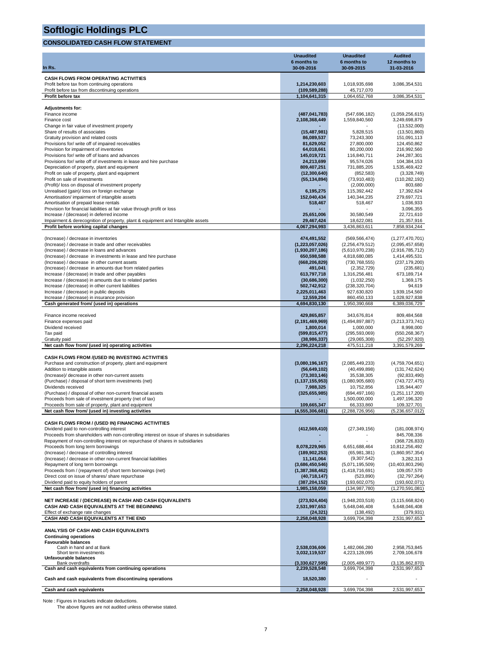## **CONSOLIDATED CASH FLOW STATEMENT**

|                                                                                                                                                                              | <b>Unaudited</b>                  | <b>Unaudited</b>                   | <b>Audited</b>                        |
|------------------------------------------------------------------------------------------------------------------------------------------------------------------------------|-----------------------------------|------------------------------------|---------------------------------------|
| In Rs.                                                                                                                                                                       | 6 months to<br>30-09-2016         | 6 months to<br>30-09-2015          | 12 months to<br>31-03-2016            |
|                                                                                                                                                                              |                                   |                                    |                                       |
| <b>CASH FLOWS FROM OPERATING ACTIVITIES</b><br>Profit before tax from continuing operations                                                                                  | 1,214,230,603                     | 1,018,935,698                      | 3,086,354,531                         |
| Profit before tax from discontinuing operations                                                                                                                              | (109, 589, 288)                   | 45,717,070                         |                                       |
| Profit before tax                                                                                                                                                            | 1,104,641,315                     | 1,064,652,768                      | 3,086,354,531                         |
| <b>Adjustments for:</b>                                                                                                                                                      |                                   |                                    |                                       |
| Finance income                                                                                                                                                               | (487, 041, 783)                   | (547, 696, 182)                    | (1,059,256,615)                       |
| Finance cost                                                                                                                                                                 | 2,108,368,449                     | 1,559,840,560                      | 3,249,698,879                         |
| Change in fair value of investment property<br>Share of results of associates                                                                                                | (15, 487, 981)                    | 5,828,515                          | (13,532,000)<br>(13,501,860)          |
| Gratuity provision and related costs                                                                                                                                         | 86,089,537                        | 73,243,300                         | 151,091,113                           |
| Provisions for/ write off of impaired receivables                                                                                                                            | 81,629,052                        | 27,800,000                         | 124,450,862                           |
| Provision for impairment of inventories<br>Provisions for/ write off of loans and advances                                                                                   | 64,018,661<br>145,019,721         | 80,200,000<br>116,840,711          | 216,992,560<br>244,287,301            |
| Provisions for/write off of investments in lease and hire purchase                                                                                                           | 24,213,699                        | 95,574,026                         | 104,384,153                           |
| Depreciation of property, plant and equipment                                                                                                                                | 809,407,251                       | 731,885,205                        | 1,535,469,422                         |
| Profit on sale of property, plant and equipment                                                                                                                              | (12, 300, 640)                    | (852, 583)                         | (3,328,749)                           |
| Profit on sale of investments<br>(Profit)/ loss on disposal of investment property                                                                                           | (55, 134, 894)                    | (73,910,483)<br>(2,000,000)        | (110, 282, 192)<br>803,680            |
| Unrealised (gain)/ loss on foreign exchange                                                                                                                                  | 6,195,275                         | 115,392,442                        | 17,392,624                            |
| Amortisation/ impairment of intangible assets                                                                                                                                | 152,040,434                       | 140,344,235                        | 279,697,721                           |
| Amortisation of prepaid lease rentals<br>Provision for financial liabilities at fair value through profit or loss                                                            | 518,467                           | 518,467                            | 1,036,933<br>3,096,355                |
| Increase / (decrease) in deferred income                                                                                                                                     | 25,651,006                        | 30,580,549                         | 22,721,610                            |
| Impairment & derecognition of property, plant & equipment and Intangible assets                                                                                              | 29,467,424                        | 18,622,081                         | 21,357,916                            |
| Profit before working capital changes                                                                                                                                        | 4,067,294,993                     | 3,436,863,611                      | 7,858,934,244                         |
| (Increase) / decrease in inventories                                                                                                                                         | 474,491,552                       | (569, 566, 474)                    | (1, 277, 470, 701)                    |
| (Increase) / decrease in trade and other receivables                                                                                                                         | (1,223,057,026)                   | (2,256,479,512)                    | (2,095,457,658)                       |
| (Increase) / decrease in loans and advances                                                                                                                                  | (1,930,207,186)                   | (5,610,970,238)                    | (2,916,785,712)                       |
| (Increase) / decrease in investments in lease and hire purchase<br>(Increase) / decrease in other current assets                                                             | 650,598,588<br>(668, 206, 829)    | 4,818,680,085<br>(730, 768, 555)   | 1.414.495.531<br>(237, 179, 200)      |
| (Increase) / decrease in amounts due from related parties                                                                                                                    | 491,041                           | (2,352,729)                        | (235, 681)                            |
| Increase / (decrease) in trade and other payables                                                                                                                            | 613,797,718                       | 1,316,256,481                      | 673,189,714                           |
| Increase / (decrease) in amounts due to related parties<br>Increase / (decrease) in other current liabilities                                                                | (30,686,300)<br>502,742,912       | (1,032,250)<br>(238, 320, 704)     | 1,369,175<br>94,619                   |
| Increase / (decrease) in public deposits                                                                                                                                     | 2,225,011,463                     | 927,630,820                        | 1,939,154,560                         |
| Increase / (decrease) in insurance provision                                                                                                                                 | 12,559,204                        | 860,450,133                        | 1,028,927,838                         |
| Cash generated from/ (used in) operations                                                                                                                                    | 4,694,830,130                     | 1,950,390,668                      | 6,389,036,729                         |
| Finance income received                                                                                                                                                      | 429,865,857                       | 343,676,814                        | 809,484,568                           |
| Finance expenses paid                                                                                                                                                        | (2, 191, 469, 969)                | (1,494,897,887)                    | (3,213,373,741)                       |
| Dividend received                                                                                                                                                            | 1,800,014                         | 1,000,000                          | 8,998,000                             |
| Tax paid<br>Gratuity paid                                                                                                                                                    | (599, 815, 477)<br>(38, 986, 337) | (295, 593, 069)<br>(29,065,308)    | (550, 268, 367)<br>(52, 297, 920)     |
| Net cash flow from/ (used in) operating activities                                                                                                                           | 2,296,224,218                     | 475,511,218                        | 3,391,579,269                         |
|                                                                                                                                                                              |                                   |                                    |                                       |
| CASH FLOWS FROM /(USED IN) INVESTING ACTIVITIES<br>Purchase and construction of property, plant and equipment                                                                | (3,080,196,167)                   | (2,085,449,233)                    | (4,759,704,651)                       |
| Addition to intangible assets                                                                                                                                                | (56, 649, 102)                    | (40, 499, 898)                     | (131, 742, 624)                       |
| (Increase)/ decrease in other non-current assets                                                                                                                             | (73, 303, 146)                    | 35,538,305                         | (92, 833, 490)                        |
| (Purchase) / disposal of short term investments (net)<br>Dividends received                                                                                                  | (1, 137, 155, 953)<br>7,988,325   | (1,080,905,680)<br>10,752,856      | (743, 727, 475)<br>135,944,407        |
| (Purchase) / disposal of other non-current financial assets                                                                                                                  | (325, 655, 985)                   | (694, 497, 166)                    | (1,251,117,200)                       |
| Proceeds from sale of investment property (net of tax)                                                                                                                       |                                   | 1,500,000,000                      | 1,497,196,320                         |
| Proceeds from sale of property, plant and equipment<br>Net cash flow from/ (used in) investing activities                                                                    | 109,665,347<br>(4,555,306,681)    | 66,333,860<br>(2.288.726.956)      | 109,327,701<br>(5,236,657,012)        |
|                                                                                                                                                                              |                                   |                                    |                                       |
| CASH FLOWS FROM / (USED IN) FINANCING ACTIVITIES                                                                                                                             |                                   |                                    |                                       |
| Dividend paid to non-controlling interest                                                                                                                                    | (412, 569, 410)                   | (27, 349, 156)                     | (181,008,974)<br>845,708,336          |
| Proceeds from shareholders with non-controlling interest on issue of shares in subsidiaries<br>Repayment of non-controlling interest on repurchase of shares in subsidiaries |                                   |                                    | (368, 726, 833)                       |
| Proceeds from long term borrowings                                                                                                                                           | 8,078,229,965                     | 6,651,688,464                      | 10,812,256,492                        |
| (Increase) / decrease of controlling interest                                                                                                                                | (189, 902, 253)                   | (65,981,381)                       | (1,860,957,354)                       |
| (Increase) / decrease in other non-current financial liabilities<br>Repayment of long term borrowings                                                                        | 11,141,064<br>(3,686,450,546)     | (9,307,542)<br>(5,071,195,509)     | 3,282,313<br>(10, 403, 803, 296)      |
| Proceeds from / (repayment of) short term borrowings (net)                                                                                                                   | (1,387,368,462)                   | (1,418,716,691)                    | 109,057,570                           |
| Direct cost on issue of shares/ share repurchase                                                                                                                             | (40, 718, 147)                    | (523, 890)                         | (32, 797, 264)                        |
| Dividend paid to equity holders of parent<br>Net cash flow from/ (used in) financing activities                                                                              | (387, 204, 152)<br>1,985,158,059  | (193, 602, 075)<br>(134, 987, 780) | (193, 602, 071)<br>(1, 270, 591, 081) |
|                                                                                                                                                                              |                                   |                                    |                                       |
| NET INCREASE / (DECREASE) IN CASH AND CASH EQUIVALENTS                                                                                                                       | (273, 924, 404)                   | (1,948,203,518)                    | (3, 115, 668, 824)                    |
| CASH AND CASH EQUIVALENTS AT THE BEGINNING<br>Effect of exchange rate changes                                                                                                | 2,531,997,653                     | 5,648,046,408                      | 5,648,046,408<br>(379, 931)           |
| CASH AND CASH EQUIVALENTS AT THE END                                                                                                                                         | (24, 321)<br>2,258,048,928        | (138, 492)<br>3,699,704,398        | 2,531,997,653                         |
|                                                                                                                                                                              |                                   |                                    |                                       |
| ANALYSIS OF CASH AND CASH EQUIVALENTS                                                                                                                                        |                                   |                                    |                                       |
| <b>Continuing operations</b><br><b>Favourable balances</b>                                                                                                                   |                                   |                                    |                                       |
| Cash in hand and at Bank                                                                                                                                                     | 2,538,036,606                     | 1,482,066,280                      | 2,958,753,845                         |
| Short term investments<br>Unfavourable balances                                                                                                                              | 3,032,119,537                     | 4,223,128,095                      | 2,709,106,678                         |
| Bank overdrafts                                                                                                                                                              | (3,330,627,595)                   | (2,005,489,977)                    | (3, 135, 862, 870)                    |
| Cash and cash equivalents from continuing operations                                                                                                                         | 2,239,528,548                     | 3,699,704,398                      | 2,531,997,653                         |
| Cash and cash equivalents from discontinuing operations                                                                                                                      | 18,520,380                        |                                    |                                       |
| Cash and cash equivalents                                                                                                                                                    | 2,258,048,928                     | 3,699,704,398                      | 2,531,997,653                         |
|                                                                                                                                                                              |                                   |                                    |                                       |

Note : Figures in brackets indicate deductions. The above figures are not audited unless otherwise stated.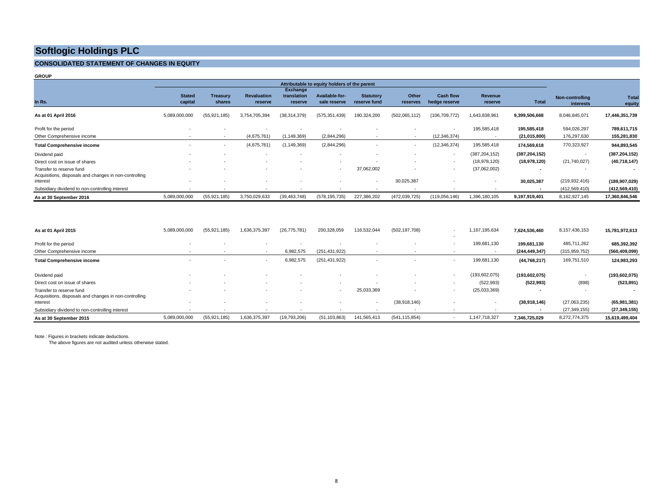## **CONSOLIDATED STATEMENT OF CHANGES IN EQUITY**

**GROUP**

|                                                                                    |                          |                           |                               |                                           | Attributable to equity holders of the parent |                                  |                          |                                   |                           |                          |                              |                 |
|------------------------------------------------------------------------------------|--------------------------|---------------------------|-------------------------------|-------------------------------------------|----------------------------------------------|----------------------------------|--------------------------|-----------------------------------|---------------------------|--------------------------|------------------------------|-----------------|
| In Rs.                                                                             | <b>Stated</b><br>capital | <b>Treasury</b><br>shares | <b>Revaluation</b><br>reserve | <b>Exchange</b><br>translation<br>reserve | Available-for-<br>sale reserve               | <b>Statutory</b><br>reserve fund | Other<br>reserves        | <b>Cash flow</b><br>hedge reserve | <b>Revenue</b><br>reserve | <b>Total</b>             | Non-controlling<br>interests | Total<br>equity |
| As at 01 April 2016                                                                | 5,089,000,000            | (55, 921, 185)            | 3,754,705,394                 | (38, 314, 379)                            | (575, 351, 439)                              | 190,324,200                      | (502,065,112)            | (106, 709, 772)                   | 1,643,838,961             | 9,399,506,668            | 8,046,845,071                | 17,446,351,739  |
| Profit for the period                                                              |                          |                           |                               |                                           |                                              |                                  |                          |                                   | 195,585,418               | 195,585,418              | 594,026,297                  | 789,611,715     |
| Other Comprehensive income                                                         |                          | $\overline{\phantom{a}}$  | (4,675,761)                   | (1, 149, 369)                             | (2,844,296)                                  | $\sim$                           | $\overline{\phantom{a}}$ | (12, 346, 374)                    | $\overline{\phantom{a}}$  | (21, 015, 800)           | 176,297,630                  | 155,281,830     |
| <b>Total Comprehensive income</b>                                                  |                          | $\overline{\phantom{a}}$  | (4,675,761)                   | (1, 149, 369)                             | (2,844,296)                                  |                                  | $\overline{a}$           | (12, 346, 374)                    | 195,585,418               | 174,569,618              | 770,323,927                  | 944,893,545     |
| Dividend paid                                                                      | $\sim$                   | $\overline{\phantom{a}}$  | $\sim$                        | $\overline{\phantom{a}}$                  |                                              |                                  |                          | $\overline{\phantom{a}}$          | (387, 204, 152)           | (387, 204, 152)          |                              | (387, 204, 152) |
| Direct cost on issue of shares                                                     |                          |                           |                               |                                           |                                              |                                  |                          | $\sim$                            | (18,978,120)              | (18,978,120)             | (21,740,027)                 | (40, 718, 147)  |
| Transfer to reserve fund<br>Acquisitions, disposals and changes in non-controlling |                          |                           |                               |                                           | $\overline{a}$                               | 37,062,002                       |                          | $\overline{\phantom{a}}$          | (37,062,002)              |                          |                              |                 |
| interest                                                                           |                          |                           |                               |                                           |                                              | $\overline{\phantom{a}}$         | 30,025,387               |                                   |                           | 30,025,387               | (219, 932, 416)              | (189, 907, 029) |
| Subsidiary dividend to non-controlling interest                                    |                          |                           |                               |                                           |                                              |                                  |                          |                                   |                           | $\overline{\phantom{a}}$ | (412, 569, 410)              | (412,569,410)   |
| As at 30 September 2016                                                            | 5,089,000,000            | (55, 921, 185)            | 3,750,029,633                 | (39, 463, 748)                            | (578, 195, 735)                              | 227,386,202                      | (472, 039, 725)          | (119,056,146)                     | 1,396,180,105             | 9,197,919,401            | 8,162,927,145                | 17,360,846,546  |

| As at 01 April 2015                                                | 5,089,000,000 | (55, 921, 185) | 1,636,375,397            | (26, 775, 781) | 200,328,059     | 116,532,044 | (502, 197, 708) |        | 167,195,634   | 7,624,536,460            | 8,157,436,153   | 15,781,972,613  |
|--------------------------------------------------------------------|---------------|----------------|--------------------------|----------------|-----------------|-------------|-----------------|--------|---------------|--------------------------|-----------------|-----------------|
| Profit for the period                                              |               |                |                          |                |                 |             |                 |        | 199,681,130   | 199,681,130              | 485,711,262     | 685,392,392     |
| Other Comprehensive income                                         |               |                |                          | 6,982,575      | (251, 431, 922) |             |                 |        |               | (244, 449, 347)          | (315, 959, 752) | (560, 409, 099) |
| <b>Total Comprehensive income</b>                                  | $\sim$        |                | $\overline{\phantom{a}}$ | 6,982,575      | (251, 431, 922) |             |                 | $\sim$ | 199,681,130   | (44, 768, 217)           | 169,751,510     | 124,983,293     |
| Dividend paid                                                      |               |                |                          |                |                 |             |                 |        | (193,602,075) | (193, 602, 075)          |                 | (193, 602, 075) |
| Direct cost on issue of shares                                     |               |                |                          |                |                 |             |                 |        | (522, 993)    | (522, 993)               | (898)           | (523, 891)      |
| Transfer to reserve fund                                           |               |                |                          |                |                 | 25,033,369  |                 |        | (25,033,369)  |                          |                 |                 |
| Acquisitions, disposals and changes in non-controlling<br>interest |               |                |                          |                |                 | $\sim$      | (38,918,146)    |        |               | (38,918,146)             | (27,063,235)    | (65,981,381)    |
| Subsidiary dividend to non-controlling interest                    |               |                |                          |                |                 |             |                 |        |               | $\overline{\phantom{a}}$ | (27, 349, 155)  | (27, 349, 155)  |
| As at 30 September 2015                                            | 5,089,000,000 | (55, 921, 185) | 1,636,375,397            | (19,793,206)   | (51, 103, 863)  | 141,565,413 | (541, 115, 854) |        | 1,147,718,327 | 7,346,725,029            | 8,272,774,375   | 15,619,499,404  |

Note : Figures in brackets indicate deductions.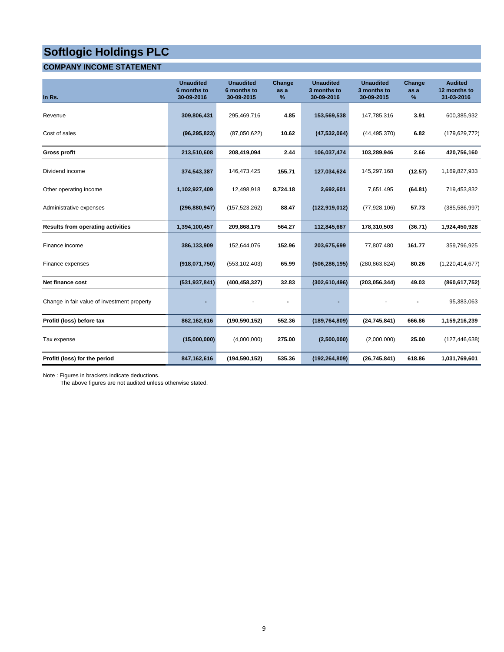## **COMPANY INCOME STATEMENT**

| In Rs.                                      | <b>Unaudited</b><br>6 months to<br>30-09-2016 | <b>Unaudited</b><br>6 months to<br>30-09-2015 | Change<br>as a<br>% | <b>Unaudited</b><br>3 months to<br>30-09-2016 | <b>Unaudited</b><br>3 months to<br>30-09-2015 | Change<br>as a<br>% | <b>Audited</b><br>12 months to<br>31-03-2016 |
|---------------------------------------------|-----------------------------------------------|-----------------------------------------------|---------------------|-----------------------------------------------|-----------------------------------------------|---------------------|----------------------------------------------|
| Revenue                                     | 309,806,431                                   | 295,469,716                                   | 4.85                | 153,569,538                                   | 147,785,316                                   | 3.91                | 600,385,932                                  |
| Cost of sales                               | (96, 295, 823)                                | (87,050,622)                                  | 10.62               | (47, 532, 064)                                | (44, 495, 370)                                | 6.82                | (179, 629, 772)                              |
| <b>Gross profit</b>                         | 213,510,608                                   | 208,419,094                                   | 2.44                | 106,037,474                                   | 103,289,946                                   | 2.66                | 420,756,160                                  |
| Dividend income                             | 374,543,387                                   | 146,473,425                                   | 155.71              | 127,034,624                                   | 145,297,168                                   | (12.57)             | 1,169,827,933                                |
| Other operating income                      | 1,102,927,409                                 | 12,498,918                                    | 8,724.18            | 2,692,601                                     | 7,651,495                                     | (64.81)             | 719,453,832                                  |
| Administrative expenses                     | (296, 880, 947)                               | (157, 523, 262)                               | 88.47               | (122, 919, 012)                               | (77, 928, 106)                                | 57.73               | (385, 586, 997)                              |
| <b>Results from operating activities</b>    | 1,394,100,457                                 | 209,868,175                                   | 564.27              | 112,845,687                                   | 178,310,503                                   | (36.71)             | 1,924,450,928                                |
| Finance income                              | 386,133,909                                   | 152,644,076                                   | 152.96              | 203,675,699                                   | 77,807,480                                    | 161.77              | 359,796,925                                  |
| Finance expenses                            | (918,071,750)                                 | (553, 102, 403)                               | 65.99               | (506, 286, 195)                               | (280, 863, 824)                               | 80.26               | (1,220,414,677)                              |
| Net finance cost                            | (531, 937, 841)                               | (400, 458, 327)                               | 32.83               | (302, 610, 496)                               | (203, 056, 344)                               | 49.03               | (860, 617, 752)                              |
| Change in fair value of investment property |                                               |                                               |                     |                                               |                                               |                     | 95,383,063                                   |
| Profit/ (loss) before tax                   | 862,162,616                                   | (190, 590, 152)                               | 552.36              | (189, 764, 809)                               | (24, 745, 841)                                | 666.86              | 1,159,216,239                                |
| Tax expense                                 | (15,000,000)                                  | (4,000,000)                                   | 275.00              | (2,500,000)                                   | (2,000,000)                                   | 25.00               | (127, 446, 638)                              |
| Profit/ (loss) for the period               | 847,162,616                                   | (194, 590, 152)                               | 535.36              | (192, 264, 809)                               | (26, 745, 841)                                | 618.86              | 1,031,769,601                                |

Note : Figures in brackets indicate deductions.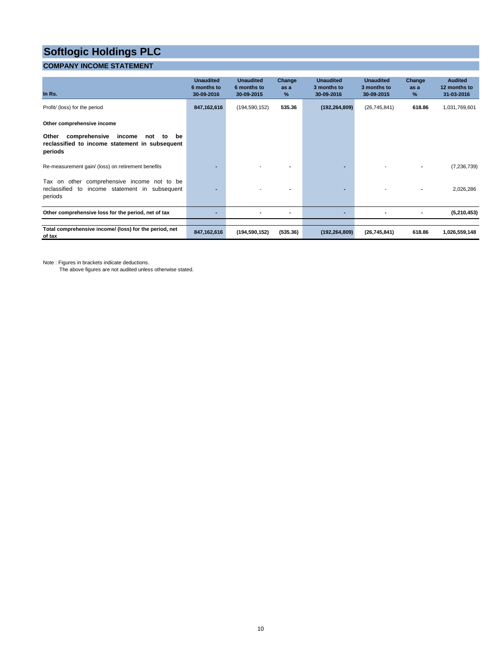## **COMPANY INCOME STATEMENT**

| In Rs.                                                                                                               | <b>Unaudited</b><br>6 months to<br>30-09-2016 | <b>Unaudited</b><br>6 months to<br>30-09-2015 | Change<br>as a<br>% | <b>Unaudited</b><br>3 months to<br>30-09-2016 | <b>Unaudited</b><br>3 months to<br>30-09-2015 | Change<br>as a<br>$\%$ | <b>Audited</b><br>12 months to<br>31-03-2016 |
|----------------------------------------------------------------------------------------------------------------------|-----------------------------------------------|-----------------------------------------------|---------------------|-----------------------------------------------|-----------------------------------------------|------------------------|----------------------------------------------|
| Profit/ (loss) for the period                                                                                        | 847,162,616                                   | (194, 590, 152)                               | 535.36              | (192, 264, 809)                               | (26, 745, 841)                                | 618.86                 | 1,031,769,601                                |
| Other comprehensive income                                                                                           |                                               |                                               |                     |                                               |                                               |                        |                                              |
| Other<br>comprehensive<br>income<br>be<br>not<br>to<br>reclassified to income statement in subsequent<br>periods     |                                               |                                               |                     |                                               |                                               |                        |                                              |
| Re-measurement gain/ (loss) on retirement benefits                                                                   |                                               |                                               |                     |                                               |                                               |                        | (7, 236, 739)                                |
| comprehensive income not to be<br>other<br>Tax on<br>reclassified<br>income statement in subsequent<br>to<br>periods |                                               |                                               |                     |                                               |                                               |                        | 2,026,286                                    |
| Other comprehensive loss for the period, net of tax                                                                  |                                               |                                               |                     |                                               |                                               |                        | (5,210,453)                                  |
| Total comprehensive income/ (loss) for the period, net<br>of tax                                                     | 847, 162, 616                                 | (194,590,152)                                 | (535.36)            | (192, 264, 809)                               | (26, 745, 841)                                | 618.86                 | 1,026,559,148                                |

Note : Figures in brackets indicate deductions.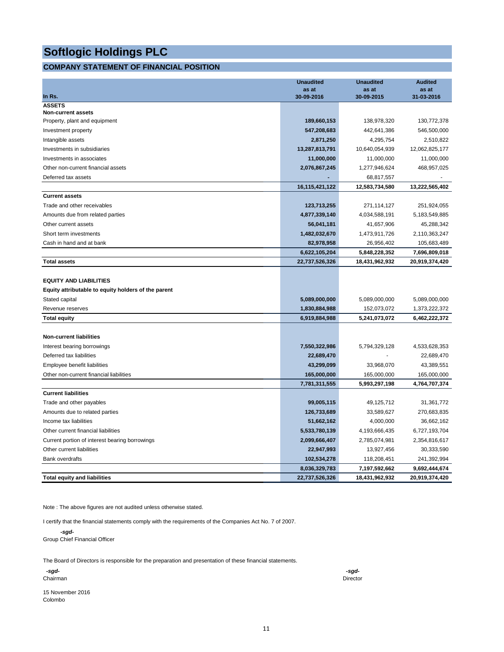## **COMPANY STATEMENT OF FINANCIAL POSITION**

|                                                     | <b>Unaudited</b>    | <b>Unaudited</b>    | <b>Audited</b>      |
|-----------------------------------------------------|---------------------|---------------------|---------------------|
| In Rs.                                              | as at<br>30-09-2016 | as at<br>30-09-2015 | as at<br>31-03-2016 |
| <b>ASSETS</b>                                       |                     |                     |                     |
| <b>Non-current assets</b>                           |                     |                     |                     |
| Property, plant and equipment                       | 189,660,153         | 138,978,320         | 130,772,378         |
| Investment property                                 | 547,208,683         | 442,641,386         | 546,500,000         |
| Intangible assets                                   | 2,871,250           | 4,295,754           | 2,510,822           |
| Investments in subsidiaries                         | 13,287,813,791      | 10,640,054,939      | 12,062,825,177      |
| Investments in associates                           | 11,000,000          | 11,000,000          | 11,000,000          |
| Other non-current financial assets                  | 2,076,867,245       | 1,277,946,624       | 468,957,025         |
| Deferred tax assets                                 |                     | 68,817,557          |                     |
|                                                     | 16,115,421,122      | 12,583,734,580      | 13,222,565,402      |
| <b>Current assets</b>                               |                     |                     |                     |
| Trade and other receivables                         | 123,713,255         | 271,114,127         | 251,924,055         |
| Amounts due from related parties                    | 4,877,339,140       | 4,034,588,191       | 5,183,549,885       |
| Other current assets                                | 56,041,181          | 41,657,906          | 45,288,342          |
| Short term investments                              | 1,482,032,670       | 1,473,911,726       | 2,110,363,247       |
| Cash in hand and at bank                            | 82,978,958          | 26,956,402          | 105,683,489         |
|                                                     | 6,622,105,204       | 5,848,228,352       | 7,696,809,018       |
| <b>Total assets</b>                                 | 22,737,526,326      | 18,431,962,932      | 20,919,374,420      |
|                                                     |                     |                     |                     |
| <b>EQUITY AND LIABILITIES</b>                       |                     |                     |                     |
| Equity attributable to equity holders of the parent |                     |                     |                     |
| Stated capital                                      | 5,089,000,000       | 5,089,000,000       | 5,089,000,000       |
| Revenue reserves                                    | 1,830,884,988       | 152,073,072         | 1,373,222,372       |
| <b>Total equity</b>                                 | 6,919,884,988       | 5,241,073,072       | 6,462,222,372       |
|                                                     |                     |                     |                     |
| <b>Non-current liabilities</b>                      |                     |                     |                     |
| Interest bearing borrowings                         | 7,550,322,986       | 5,794,329,128       | 4,533,628,353       |
| Deferred tax liabilities                            | 22,689,470          |                     | 22,689,470          |
| Employee benefit liabilities                        | 43,299,099          | 33,968,070          | 43,389,551          |
| Other non-current financial liabilities             | 165,000,000         | 165,000,000         | 165,000,000         |
|                                                     | 7,781,311,555       | 5,993,297,198       | 4,764,707,374       |
| <b>Current liabilities</b>                          |                     |                     |                     |
| Trade and other payables                            | 99,005,115          | 49,125,712          | 31,361,772          |
| Amounts due to related parties                      | 126,733,689         | 33,589,627          | 270,683,835         |
| Income tax liabilities                              | 51,662,162          | 4,000,000           | 36,662,162          |
| Other current financial liabilities                 | 5,533,780,139       | 4,193,666,435       | 6,727,193,704       |
| Current portion of interest bearing borrowings      | 2,099,666,407       | 2,785,074,981       | 2,354,816,617       |
| Other current liabilities                           | 22,947,993          | 13,927,456          | 30,333,590          |
| <b>Bank overdrafts</b>                              | 102,534,278         | 118,208,451         | 241,392,994         |
|                                                     | 8,036,329,783       | 7,197,592,662       | 9,692,444,674       |
| <b>Total equity and liabilities</b>                 | 22,737,526,326      | 18,431,962,932      | 20,919,374,420      |

Note : The above figures are not audited unless otherwise stated.

I certify that the financial statements comply with the requirements of the Companies Act No. 7 of 2007.

 *-sgd-*Group Chief Financial Officer

The Board of Directors is responsible for the preparation and presentation of these financial statements.

| -sgd-    | -sgd-    |
|----------|----------|
| Chairman | Director |
|          |          |

15 November 2016 Colombo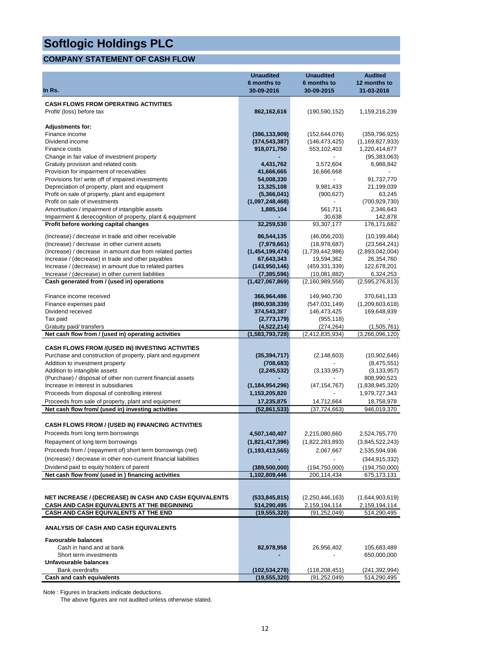## **COMPANY STATEMENT OF CASH FLOW**

|                                                                                                      | <b>Unaudited</b><br>6 months to | <b>Unaudited</b><br>6 months to   | <b>Audited</b><br>12 months to    |
|------------------------------------------------------------------------------------------------------|---------------------------------|-----------------------------------|-----------------------------------|
| In Rs.                                                                                               | 30-09-2016                      | 30-09-2015                        | 31-03-2016                        |
| <b>CASH FLOWS FROM OPERATING ACTIVITIES</b>                                                          |                                 |                                   |                                   |
| Profit/ (loss) before tax                                                                            | 862,162,616                     | (190, 590, 152)                   | 1,159,216,239                     |
|                                                                                                      |                                 |                                   |                                   |
| <b>Adjustments for:</b>                                                                              |                                 |                                   |                                   |
| Finance income                                                                                       | (386, 133, 909)                 | (152, 644, 076)                   | (359, 796, 925)                   |
| Dividend income                                                                                      | (374, 543, 387)                 | (146, 473, 425)                   | (1, 169, 827, 933)                |
| Finance costs                                                                                        | 918,071,750                     | 553,102,403                       | 1,220,414,677                     |
| Change in fair value of investment property                                                          |                                 |                                   | (95, 383, 063)                    |
| Gratuity provision and related costs                                                                 | 4,431,762                       | 3,572,604                         | 6,988,842                         |
| Provision for impairment of receivables                                                              | 41,666,665<br>54,008,330        | 16,666,668                        | 91,737,770                        |
| Provisions for/ write off of impaired investments<br>Depreciation of property, plant and equipment   | 13,325,108                      | 9,981,433                         | 21,199,039                        |
| Profit on sale of property, plant and equipment                                                      | (5,366,041)                     | (900, 627)                        | 63,245                            |
| Profit on sale of investments                                                                        | (1,097,248,468)                 |                                   | (700, 929, 730)                   |
| Amortisation / impairment of intangible assets                                                       | 1,885,104                       | 561,711                           | 2,346,643                         |
| Impairment & derecognition of property, plant & equipment                                            |                                 | 30,638                            | 142,878                           |
| Profit before working capital changes                                                                | 32,259,530                      | 93,307,177                        | 176,171,682                       |
|                                                                                                      |                                 |                                   |                                   |
| (Increase) / decrease in trade and other receivable<br>(Increase) / decrease in other current assets | 86,544,135                      | (46,056,203)                      | (10, 199, 464)                    |
| (Increase) / decrease in amount due from related parties                                             | (7,979,661)<br>(1,454,199,474)  | (18, 978, 687)<br>(1,739,442,986) | (23, 564, 241)<br>(2,893,042,004) |
| Increase / (decrease) in trade and other payables                                                    | 67,643,343                      | 19,594,362                        | 26,354,760                        |
| Increase / (decrease) in amount due to related parties                                               | (143,950,146)                   | (459, 331, 339)                   | 122,678,201                       |
| Increase / (decrease) in other current liabilities                                                   | (7, 385, 596)                   | (10,081,882)                      | 6,324,253                         |
| Cash generated from / (used in) operations                                                           | (1,427,067,869)                 | (2, 160, 989, 558)                | (2,595,276,813)                   |
|                                                                                                      |                                 |                                   |                                   |
| Finance income received                                                                              | 366,964,486                     | 149,940,730                       | 370,641,133                       |
| Finance expenses paid                                                                                | (890, 938, 339)                 | (547, 031, 149)                   | (1,209,603,618)                   |
| Dividend received                                                                                    | 374,543,387                     | 146,473,425                       | 169,648,939                       |
| Tax paid                                                                                             | (2,773,179)                     | (955, 118)                        |                                   |
| Gratuity paid/ transfers                                                                             | (4,522,214)                     | (274, 264)                        | (1,505,761)                       |
| Net cash flow from / (used in) operating activities                                                  | (1,583,793,728)                 | (2,412,835,934)                   | (3,266,096,120)                   |
| <b>CASH FLOWS FROM /(USED IN) INVESTING ACTIVITIES</b>                                               |                                 |                                   |                                   |
| Purchase and construction of property, plant and equipment                                           | (35, 394, 717)                  | (2, 148, 603)                     | (10,902,646)                      |
| Addition to investment property                                                                      | (708,683)                       |                                   | (8,475,551)                       |
| Addition to intangible assets                                                                        | (2, 245, 532)                   | (3, 133, 957)                     | (3, 133, 957)                     |
| (Purchase) / disposal of other non current financial assets                                          |                                 |                                   | 808,990,523                       |
| Increase in interest in subsidiaries                                                                 | (1, 184, 954, 296)              | (47, 154, 767)                    | (1,838,945,320)                   |
| Proceeds from disposal of controlling interest                                                       | 1,153,205,820                   |                                   | 1,979,727,343                     |
| Proceeds from sale of property, plant and equipment                                                  | 17,235,875                      | 14,712,664                        | 18,758,978                        |
| Net cash flow from/ (used in) investing activities                                                   | (52, 861, 533)                  | (37, 724, 663)                    | 946,019,370                       |
| <b>CASH FLOWS FROM / (USED IN) FINANCING ACTIVITIES</b>                                              |                                 |                                   |                                   |
| Proceeds from long term borrowings                                                                   |                                 |                                   |                                   |
|                                                                                                      | 4,507,140,407                   | 2,215,080,660                     | 2,524,765,770                     |
| Repayment of long term borrowings                                                                    | (1,821,417,396)                 | (1,822,283,893)                   | (3,845,522,243)                   |
| Proceeds from / (repayment of) short term borrowings (net)                                           | (1, 193, 413, 565)              | 2,067,667                         | 2,535,594,936                     |
| (Increase) / decrease in other non-current financial liabilities                                     |                                 |                                   | (344, 915, 332)                   |
| Dividend paid to equity holders of parent                                                            | (389, 500, 000)                 | (194, 750, 000)                   | (194, 750, 000)                   |
| Net cash flow from/ (used in ) financing activities                                                  | 1,102,809,446                   | 200,114,434                       | 675,173,131                       |
|                                                                                                      |                                 |                                   |                                   |
| NET INCREASE / (DECREASE) IN CASH AND CASH EQUIVALENTS                                               | (533, 845, 815)                 | (2,250,446,163)                   | (1,644,903,619)                   |
| CASH AND CASH EQUIVALENTS AT THE BEGINNING                                                           | 514,290,495                     | 2,159,194,114                     | 2,159,194,114                     |
| <b>CASH AND CASH EQUIVALENTS AT THE END</b>                                                          | (19,555,320)                    | (91,252,049)                      | 514,290,495                       |
|                                                                                                      |                                 |                                   |                                   |
| ANALYSIS OF CASH AND CASH EQUIVALENTS                                                                |                                 |                                   |                                   |
| <b>Favourable balances</b>                                                                           |                                 |                                   |                                   |
| Cash in hand and at bank                                                                             | 82,978,958                      | 26,956,402                        | 105,683,489                       |
| Short term investments                                                                               |                                 |                                   | 650,000,000                       |
| Unfavourable balances                                                                                |                                 |                                   |                                   |
| <b>Bank overdrafts</b>                                                                               | (102, 534, 278)                 | (118, 208, 451)                   | (241,392,994)                     |
| Cash and cash equivalents                                                                            | (19,555,320)                    | (91,252,049)                      | 514,290,495                       |

Note : Figures in brackets indicate deductions.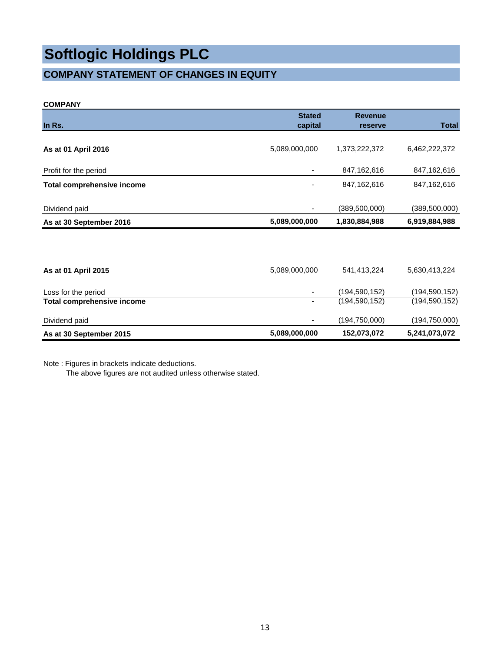## **COMPANY STATEMENT OF CHANGES IN EQUITY**

## **COMPANY**

|                                   | <b>Stated</b> | <b>Revenue</b>  | <b>Total</b>    |
|-----------------------------------|---------------|-----------------|-----------------|
| In Rs.                            | capital       | reserve         |                 |
| As at 01 April 2016               | 5,089,000,000 | 1,373,222,372   | 6,462,222,372   |
| Profit for the period             |               | 847,162,616     | 847,162,616     |
| <b>Total comprehensive income</b> |               | 847,162,616     | 847, 162, 616   |
| Dividend paid                     | ٠             | (389,500,000)   | (389,500,000)   |
| As at 30 September 2016           | 5,089,000,000 | 1,830,884,988   | 6,919,884,988   |
|                                   |               |                 |                 |
| As at 01 April 2015               | 5,089,000,000 | 541,413,224     | 5,630,413,224   |
| Loss for the period               | ٠             | (194, 590, 152) | (194, 590, 152) |
| <b>Total comprehensive income</b> | ۰             | (194,590,152)   | (194, 590, 152) |
| Dividend paid                     |               | (194, 750, 000) | (194, 750, 000) |
| As at 30 September 2015           | 5,089,000,000 | 152,073,072     | 5,241,073,072   |

Note : Figures in brackets indicate deductions.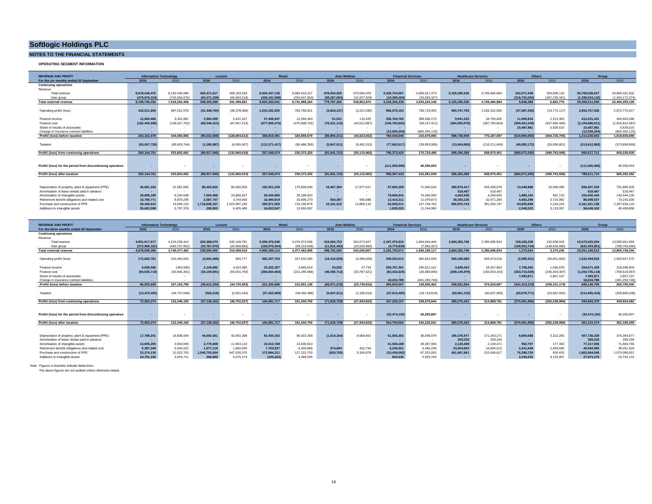## **NOTES TO THE FINANCIAL STATEMENTS**

#### **OPERATING SEGMENT INFORMATION**

| <b>REVENUE AND PROFIL</b>                                  | <b>Information Technology</b> |                 |                | Leisure       | Retail         |               | <b>Auto Mobiles</b> |                | <b>Financial Services</b> |                      | <b>Healthcare Services</b> |                      | <b>Others</b> |                   | Group                     |                    |
|------------------------------------------------------------|-------------------------------|-----------------|----------------|---------------|----------------|---------------|---------------------|----------------|---------------------------|----------------------|----------------------------|----------------------|---------------|-------------------|---------------------------|--------------------|
| For the six months ended 30 September                      | 2016                          | 2015            | 2016           | 2015          | 2016           | 2015          | 2016                | 2015           | 2016                      | 2015                 | 2016                       | 2015                 | 2016          | 2015              | 2016                      | 2015               |
| <b>Continuing operations</b>                               |                               |                 |                |               |                |               |                     |                |                           |                      |                            |                      |               |                   |                           |                    |
| Revenue                                                    |                               |                 |                |               |                |               |                     |                |                           |                      |                            |                      |               |                   |                           |                    |
| Total revenue                                              | 9.678.445.476                 | 8.242.440.084   | 462.471.617    | 408.183.199   | 9.932.447.139  | 8.985.616.217 | 878.054.929         | 570.690.429    | 4.328.754.507             | 3.669.917.473        | 5.105.290.530              | 4.709.484.984        | 322.571.439   | 304.099.116       | 30.708.035.637            | 26.890.431.502     |
| Inter group                                                | (479.679.224)                 | (724.084.676)   | (64,271,328    | (66,683,518)  | (330, 181, 598 | (253,647.95)  | (98.267.663         | (31.827.559)   | (10.399.269)              | (26.693.327)         |                            |                      | (316,725,050  | (297.235.341)     | (1.299.524.132)           | (1.400.172.374)    |
| <b>Total external revenue</b>                              | 9,198,766,252                 | 7,518,355,408   | 398,200,289    | 341,499,681   | 9,602,265,541  | 8,731,968,264 | 779,787,266         | 538.862.870    | 4,318,355,238             | 3.643.224.146        | 5,105,290,530              | 4,709,484,984        | 5,846,389     | 6.863.775         | 29,408,511,505            | 25,490,259,128     |
|                                                            |                               |                 |                |               |                |               |                     |                |                           |                      |                            |                      |               |                   |                           |                    |
| Operating profit/ (loss)                                   | 433.511.609                   | 487.551.578     | (31, 448, 704) | (46.378.386)  | 1.010.182.020  | 784.708.921   | (9,824,137)         | (3.221.090)    | 565.576.163               | 736.719.455          | 983,747,705                | 1.028.162.056        | (47,987,350   | (14.772.117)      | 2.903.757.306             | 2.972.770.417      |
|                                                            |                               |                 |                |               |                |               |                     |                |                           |                      |                            |                      |               |                   |                           |                    |
| Finance income                                             | 12.084.466                    | 3.431.981       | 3.962.059      | 5.431.187     | 37,446,947     | 12.059.460    | 51.041              | 110.425        | 336,784,780               | 398.566.175          | 9.941.322                  | 34.790.695           | 11.960.816    | 2.213.363         | 412.231.431               | 456,603,286        |
| Finance cost                                               | (182, 443, 596)               | (146, 527, 753) | (68, 045, 413) | (87.947.413)  | (677.809.476)  | (475.908.702) | (76, 221, 115)      | (40, 512, 987) | (105, 765, 693)           | (59.157.412)         | (394.950.078)              | (287.765.654)        | (599.451.540) | (457.996.466)     | (2.104.686.911            | (1, 555, 816, 387) |
| Share of results of associates                             |                               |                 |                |               |                |               |                     |                |                           |                      |                            |                      | 15,487,981    | 5.828.515         | 15,487.981                | 5.828.515          |
| Change in insurance contract liabilities                   |                               |                 |                |               |                |               |                     |                | (12,559,204)              | (860 450 133)        |                            |                      |               |                   | (12,559,204)              | (860.450.133)      |
| Profit/ (loss) before taxation                             | 263.152.479                   | 344,455,806     | (95,532,058    | (128.894.612) | 369.819.491    | 320.859.679   | (85.994.211)        | (43.623.652)   | 784.036.046               | 215.678.085          | 598.738.949                | 775.187.097          | (619,990,093  | (464.726.705)     | 1.214.230.603             | 1,018,935,698      |
|                                                            |                               |                 |                |               |                |               |                     |                |                           |                      |                            |                      |               |                   |                           |                    |
| Taxation                                                   | (63,007,728)                  | (90.653.744)    | (1.285.887     | (4.065.407)   | (112.271.417)  | (90.486.359)  | (5.847.511          | (6.492.313)    | (77,662,617               | (39.953.589)         | (13,454,560)               | (116.211.646)        | (40.083.172)  | (26.036.801)      | (313.612.892)             | (373,899,859)      |
|                                                            |                               |                 |                |               |                |               |                     |                |                           |                      |                            |                      |               |                   |                           |                    |
| Profit/ (loss) from continuing operations                  | 200.144.751                   | 253.802.062     | (96,817,945    | (132.960.019) | 257.548.074    | 230.373.320   | (91.841.722         | (50.115.965)   | 706.373.429               | 175.724.496          | 585.284.389                | 658.975.451          | (660.073.265  | (490.763.506)     | 900.617.711               | 645.035.839        |
|                                                            |                               |                 |                |               |                |               |                     |                |                           |                      |                            |                      |               |                   |                           |                    |
|                                                            |                               |                 |                |               |                |               |                     |                |                           |                      |                            |                      |               |                   |                           |                    |
| Profit/ (loss) for the period from discontinuing operation |                               |                 |                |               |                |               |                     |                | (111.005.996)             | 40.356.553           |                            |                      |               |                   | (111.005.996)             | 40.356.553         |
|                                                            |                               | 253.802.062     | (96.817.945)   |               |                |               |                     |                |                           |                      | 585.284.389                | 658.975.451          |               |                   | 789.611.715               |                    |
| Profit/ (loss) after taxation                              | 200.144.751                   |                 |                | (132.960.019) | 257.548.074    | 230.373.320   | (91.841.722)        | (50.115.965)   | 595.367.433               | 216.081.049          |                            |                      | (660.073.265) | (490.763.506)     |                           | 685.392.392        |
|                                                            |                               |                 |                |               |                |               |                     |                |                           |                      |                            |                      |               |                   |                           |                    |
| Depreciation of property, plant & equipment (PPE)          | 35.691.332                    | 31.961.695      | 89.402.622     | 85,666,556    | 182.921.239    | 170.828.640   | 19,467,394          | 17.977.617     | 87.500.358                | 71.945.524           | 380.974.417                | 343,406,078          | 13,449,888    | 10.099.095        | 809.407.250               | 731.885.205        |
| Amortisation of lease rentals paid in advance              | . .                           | $\sim$          |                |               | . .            | $\sim$        |                     |                | - 33                      |                      | 518,467                    |                      | <b>COL</b>    |                   | 518,467                   | 518,467            |
| Amortisation of intangible assets                          | 29,699,199                    | 8.194.538       | 7.554.466      | 23.880.427    | 30.034.685     | 29,186,620    |                     | $\sim$         | 78,606,041                | $\sim$<br>74.260.000 | 4.260.939                  | 518,467<br>4.260.940 | 1.885.104     | $\sim$<br>561.710 |                           | 140.344.235        |
| Retirement benefit obligations and related cost            | 10.780.771                    | 9,870,290       | 2.587.707      | 3,744,000     | 16,494,919     | 10.906.273    | 934.397             | . .<br>955,588 | 12.415.311                | 11.079.873           | 38.393.136                 | 32.971.284           | 4.483.296     | 3.715.992         | 152.040.434<br>86.089.537 | 73.243.300         |
| Purchase and construction of PPE                           | 28,426,012                    | 13,559,123      | 1.716.608.167  | 1,022,997,230 | 295.971.055    | 715,190,879   | 12.161.312          | 14,858,116     | 62.558.011                | 127,740,752          | 960.870.743                | 391.055.787          | 84.805.898    | 2.224.223         | 3,161,401,198             | 2,287,626,110      |
|                                                            |                               |                 |                |               |                |               |                     |                |                           |                      |                            |                      |               |                   |                           |                    |
| Additions to intangible assets                             | 35.602.598                    | 5.797.378       | 208,800        | 6,405,486     | 16.652.847     | 13.918.097    | $\sim$              |                | 1.939.325                 | 11.244.980           | .                          |                      | 2.245.532     | 3.133.957         | 56.649.102                | 40.499.898         |

| <b>REVENUE AND PROFIT</b>                                  |                | <b>Information Technology</b> |                | Leisure                  | Retail                   |                          | <b>Auto Mobiles</b> |                |                           | <b>Financial Services</b> | <b>Healthcare Services</b> |                 | <b>Others</b> |                 | Group           |                 |
|------------------------------------------------------------|----------------|-------------------------------|----------------|--------------------------|--------------------------|--------------------------|---------------------|----------------|---------------------------|---------------------------|----------------------------|-----------------|---------------|-----------------|-----------------|-----------------|
| For the three months ended 30 September                    | 2016           | 2015                          | 2016           | 2015                     | 2016                     | 2015                     | 2016                | 2015           | 2016                      | 2015                      | 2016                       | 2015            | 2016          | 2015            | 2016            | 2015            |
| <b>Continuing operations</b>                               |                |                               |                |                          |                          |                          |                     |                |                           |                           |                            |                 |               |                 |                 |                 |
| Revenue                                                    |                |                               |                |                          |                          |                          |                     |                |                           |                           |                            |                 |               |                 |                 |                 |
| Total revenue                                              | 4.951.917.577  | 4.224.235.414                 | 263,368,070    | 240.168.781              | 5.006.475.048            | 4.476.674.558            | 410.564.753         | 262.672.647    | 2.197.475.910             | 1.844.044.444             | 2.684.392.748              | 2.395.696.934   | 159.426.258   | 152.008.916     | 15.673.620.364  | 13.595.501.694  |
| Inter group                                                | (272.969.181   | (483.757.952)                 | (24,767.67)    | (29.668.862)             | (150.075.934)            | (99.210.649)             | (11.812.493)        | (20.635.980)   | (4,775,839)               | (7.855.327)               |                            |                 | (158,052,734) | (148.634.680)   | (622,453,851    | (789.763.450    |
| <b>Total external revenue</b>                              | 4,678,948,396  | 3,740,477,462                 | 238,600,400    | 210,499,919              | 4,856,399,114            | 4,377,463,909            | 398,752,260         | 242.036.667    | 2,192,700,071             | 1,836,189,117             | 2,684,392,748              | 2.395.696.934   | 1.373.524     | 3.374.236       | 15,051,166,513  | 12,805,738,244  |
|                                                            |                |                               |                |                          |                          |                          |                     |                |                           |                           |                            |                 |               |                 |                 |                 |
| Operating profit/ (loss)                                   | 172.602.781    | 231.484.063                   | (4,602,495)    | 856,777                  | 582.207.793              | 427.632.090              | (19.416.026)        | (4.999.928)    | 249.254.013               | 365.852.939               | 555,439,080                | 506.473.016     | (2,990,321)   | (26.651.682)    | 1.532.494.825   | 1.500.647.275   |
|                                                            |                |                               |                |                          |                          |                          |                     |                |                           |                           |                            |                 |               |                 |                 |                 |
| Finance income                                             | 8.059.566      | (454.926)                     | 2.149.882      | 4.424.380                | 23.202.357               | 3.665.014                | 25.520              | 47.733         | 209.797.391               | 190.812.161               | 3.638.453                  | 18,557,863      | 7.798.260     | 1.046.678       | 254.671.429     | 218,098,903     |
| Finance cost                                               | (94,636,718    | (63, 845, 341)                | (34, 159, 591) | (50,001,750)             | (384,064,464)            | (221, 295, 966)          | (46,580,712         | (20, 787, 621) | (82.432.625)              | (26,680,890)              | (209.145.979               | (150, 504, 192) | (353,715,029  | (236, 403, 307) | (1,204,735,118  | (769, 519, 067) |
| Share of results of associates                             |                |                               |                | $\sim$                   |                          |                          |                     |                |                           |                           |                            |                 | 7,493,871     | 2.857.137       | 7.493.871       | 2.857.137       |
| Change in insurance contract liabilities                   |                |                               |                |                          |                          |                          |                     |                | 18.224.788                | (401.293.748)             |                            |                 |               |                 | 18.224.788      | (401.293.748)   |
| Profit/ (loss) before taxation                             | 86.025.629     | 167.183.796                   | (36.612.204)   | (44.720.593)             | 221.345.686              | 210.001.138              | (65.971.218)        | (25.739.816)   | 394,843,567               | 128,690,462               | 349.931.554                | 374.526.687     | (341,413,219  | (259.151.174)   | 608.149.795     | 550,790,500     |
|                                                            |                |                               |                |                          |                          |                          |                     |                |                           |                           |                            |                 |               |                 |                 |                 |
| Taxation                                                   | (13, 472, 355) | (44, 737, 646)                | (526, 218)     | (2.031.444)              | (57,263,969              | (58.456.388)             | (5,847,511)         | (2.195.016)    | (47, 615, 460)            | (18.719.818)              | (60, 661, 132)             | (60.637.906)    | (29,078,771)  | (23,087,820)    | (214, 465, 416) | (209.866.038)   |
|                                                            |                |                               |                |                          |                          |                          |                     |                |                           |                           |                            |                 |               |                 |                 |                 |
| Profit/ (loss) from continuing operations                  | 72.553.274     | 122.446.150                   | (37.138.422)   | (46.752.037)             | 164.081.717              | 151.544.750              | (71.818.729         | (27.934.832)   | 347.228.107               | 109.970.644               | 289.270.422                | 313,888,781     | (370.491.990  | (282.238.994)   | 393.684.379     | 340.924.462     |
|                                                            |                |                               |                |                          |                          |                          |                     |                |                           |                           |                            |                 |               |                 |                 |                 |
|                                                            |                |                               |                |                          |                          |                          |                     |                |                           |                           |                            |                 |               |                 |                 |                 |
| Profit/ (loss) for the period from discontinuing operation |                |                               |                |                          |                          |                          |                     |                | (32.474.105)              | 40.255.897                |                            |                 |               |                 | (32.474.105)    | 40.255.897      |
|                                                            |                |                               |                |                          |                          |                          |                     |                |                           |                           | 289,270,422                |                 |               |                 | 361.210.274     |                 |
| Profit/ (loss) after taxation                              | 72.553.274     | 122.446.150                   | (37.138.422)   | (46.752.037)             | 164.081.717              | 151.544.750              | (71.818.729         | (27.934.832)   | 314,754,002               | 150.226.541               |                            | 313,888,781     | (370.491.990  | (282.238.994)   |                 | 381.180.359     |
|                                                            |                |                               |                |                          |                          |                          |                     |                |                           |                           |                            |                 |               |                 |                 |                 |
| Depreciation of property, plant & equipment (PPE)          | 17,788,241     | 15,608,004                    | 44,692,051     | 42,692,289               | 92,434,163               | 96,422,268               | (1.014.164)         | 8.968.801      | 51.566.383                | 36.048.079                | 195,376,977                | 171.343.271     | 6,894,688     | 5.312.265       | 407.738.339     | 376, 394, 977   |
| Amortisation of lease rentals paid in advance              |                |                               |                |                          | $\overline{\phantom{a}}$ |                          |                     |                |                           |                           | 259,233                    | 259.234         |               | . .             | 259.233         | 259,234         |
| Amortisation of intangible assets                          | 13.935.205     | 3.504.045                     | 3,779,408      | $\sim$<br>11,953,110     | 15.013.768               | 14,630,810               |                     |                | 41,506,188                | 39.287.966                | 2.130.469                  | 2.130.471       | 952.797       | 177,363         | 77.317.835      | 71.683.765      |
| Retirement benefit obligations and related cost            | 5.387.349      | 5.043.022                     | 1.077.118      | 1.892.000                | 7.763.937                | 6.433.668                | 374,694             | 452.794        | 6.245.551                 | 5.496.239                 | 23,504,653                 | 16.804.012      | 2.241.648     | 1.929.690       | 46,594,950      | 38.051.425      |
| Purchase and construction of PPE                           | 23.274.130     | 12.022.703                    | 1.040.703.004  |                          | 172.994.211              |                          | (925.755)           | 5.166.879      |                           | 67.323.002                | 561.667.841                |                 | 76,389,729    | 826,433         | 1.863.664.068   | 070,098,957     |
| Additions to intangible assets                             | 24.791.330     | 3.919.711                     | 208,800        | 647,030,370<br>6.276.174 | (105, 422)               | 127,222,753<br>4.486.536 |                     |                | (10, 439, 092)<br>833,036 | 5.925.744                 |                            | 210,506,817     | 2.245.532     | 3.133.957       | 27.973.276      | 23.742.122      |
|                                                            |                |                               |                |                          |                          |                          |                     |                |                           |                           |                            |                 |               |                 |                 |                 |

Note : Figures in brackets indicate deductions. The above figures are not audited unless otherwise stated.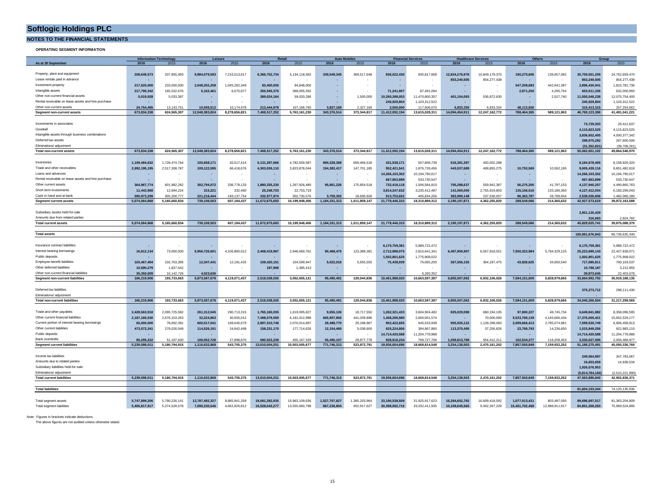**NOTES TO THE FINANCIAL STATEMENTS**

**OPERATING SEGMENT INFORMATION**

| <b>Information Technology</b>                       |                           |                             | Leisure                    |               | Retail         |                | <b>Auto Mobiles</b> |               | <b>Financial Services</b>    |                | <b>Healthcare Services</b> |                | Others         |                | Group                        |                |
|-----------------------------------------------------|---------------------------|-----------------------------|----------------------------|---------------|----------------|----------------|---------------------|---------------|------------------------------|----------------|----------------------------|----------------|----------------|----------------|------------------------------|----------------|
| As at 30 September                                  | 2016                      | 2015                        | 2016                       | 2015          | 2016           | 2015           | 2016                |               | 2016                         | 2015           | 2016                       | 2015           | 2016           | 2015           | 2016                         | 2015           |
|                                                     |                           |                             |                            |               |                |                |                     |               |                              |                |                            |                |                |                |                              |                |
| Property, plant and equipment                       | 208,649,573               | 207,855,493                 | 9,984,079,593              | 7,216,513,617 | 6,366,702,734  | 5,134,118,592  | 339.549.345         | 369,517,648   | 836,022,430                  | 835,817,668    | 12,834,276,978             | 10,849,179,370 | 190,270,606    | 139,657,082    | 30,759,551,259               | 24,752,659,470 |
| Lease rentals paid in advance                       |                           |                             |                            |               |                |                |                     |               |                              |                | 853,240,505                | 854,277,438    |                |                | 853,240,505                  | 854,277,438    |
| Investment property                                 | 217.620.000               | 233,000,000                 | 2.048.202.258              | 1.045.292.349 | 83.400.000     | 94,848,000     |                     |               |                              |                |                            |                | 547.208.683    | 442,641,387    | 2,896,430,941                | 1,815,781,736  |
| Intangible assets                                   | 217,790,342               | 165,532,676                 | 5,162,461                  | 6,675,877     | 355,945,376    | 368,005,592    |                     |               | 71,241,907                   | 87,491,094     | ٠                          |                | 2,871,250      | 4,295,754      | 653,011,336                  | 632,000,993    |
| Other non-current financial assets                  | 5,019,928                 | 5,033,387                   |                            |               | 389,024,164    | 59,020,286     |                     | 1,500,000     | 10,260,398,053               | 11,470,800,357 | 401,104,093                | 536,872,630    |                | 2,527,740      | 11,055,546,238               | 12,075,754,400 |
| Rental receivable on lease assets and hire purchase |                           |                             |                            |               |                |                |                     |               | 240.929.804                  | 1,103,312,522  |                            |                |                |                | 240.929.804                  | 1,103,312,522  |
| Other non-current assets                            | 24.754.495                | 13.143.751                  | 10.939.512                 | 10.174.978    | 213,444,978    | 107.168.760    | 3.827.169           | 2.327.169     | 3.500.000                    | 117,606,670    | 5.833.335                  | 6.833.334      | 48.113.826     |                | 310.413.315                  | 257.254.662    |
| Segment non-current assets                          | 673,834,338               | 624,565,307                 | 12,048,383,824             | 8,278,656,821 | 7,408,517,252  | 5,763,161,230  | 343,376,514         | 373,344,817   | 11,412,092,194               | 13,615,028,311 | 14,094,454,911             | 12,247,162,772 | 788,464,365    | 589,121,963    | 46,769,123,398               | 41,491,041,221 |
|                                                     |                           |                             |                            |               |                |                |                     |               |                              |                |                            |                |                |                |                              |                |
|                                                     |                           |                             |                            |               |                |                |                     |               |                              |                |                            |                |                |                |                              |                |
| Investments in associates                           |                           |                             |                            |               |                |                |                     |               |                              |                |                            |                |                |                | 73,729,303                   | 29,412,637     |
| Goodwill                                            |                           |                             |                            |               |                |                |                     |               |                              |                |                            |                |                |                | 4,115,823,525                | 4,115,823,525  |
| Intangible assets through business combinations     |                           |                             |                            |               |                |                |                     |               |                              |                |                            |                |                |                | 3,836,652,405                | 4,000,377,342  |
| Deferred tax assets                                 |                           |                             |                            |               |                |                |                     |               |                              |                |                            |                |                |                | 298,675,292                  | 267,600,506    |
| Eliminations/ adiustment                            |                           |                             |                            |               |                |                |                     |               |                              |                |                            |                |                |                | (31, 352, 821)               | (39,708,261)   |
| <b>Total non-current assets</b>                     | 673,834,338               | 624.565.307                 | 12,048,383,824             | 8,278,656,821 | 7,408,517,252  | 5,763,161,230  | 343,376,514         | 373,344,817   | 11,412,092,194               | 13,615,028,311 | 14,094,454,911             | 12,247,162,772 | 788,464,365    | 589,121,963    | 55,062,651,102               | 49,864,546,970 |
|                                                     |                           |                             |                            |               |                |                |                     |               |                              |                |                            |                |                |                |                              |                |
| Inventories                                         | 1,109,484,632             | 1,728,474,764               | 105,658,171                | 20,517,414    | 5,131,287,666  | 4,782,659,587  | 890.328.368         | 669,466,518   | 431,538,171                  | 557,808,739    | 516,381,397                | 400,002,298    |                |                | 8,184,678,405                | 8,158,929,320  |
| Trade and other receivables                         | 2,992,195,195             | 2,517,308,787               | 109,122,595                | 66,418,676    | 4,303,026,110  | 3,823,878,044  | 194,382,417         | 147,701,185   | 952,421,541                  | 1,876,728,456  | 443,537,689                | 408,855,275    | 10,753,569     | 10,592,195     | 9,005,439,116                | 8,851,482,618  |
| Loans and advances                                  |                           |                             |                            |               | ٠              |                |                     |               | 14,266,103,302               | 10,194,790,017 |                            |                |                |                | 14,266,103,302               | 10,194,790,017 |
| Rental receivable on lease assets and hire purchase |                           |                             |                            |               | ٠              |                |                     |               | 667,963,899                  | 533,730,547    |                            |                |                |                | 667,963,899                  | 533,730,547    |
| Other current assets                                |                           |                             |                            |               |                |                |                     |               |                              |                |                            |                |                |                |                              |                |
|                                                     | 364,967,774               | 601,982,282                 | 302,794,072                | 336,778,133   | 1,880,335,230  | 1,267,926,480  | 95,861,226          | 175,854,518   | 732,418,118                  | 1,506,584,810  | 705,288,637                | 559,942,387    | 56,275,200     | 41,797,153     | 4,137,940,257                | 4,490,865,763  |
| Short term investments                              | 11,443,968                | 12,694,224                  | 315,221                    | 332,460       | 25.248.703     | 22,753,719     | <b>College</b>      |               | 3,814,247,632                | 3,235,412,487  | 141,000,000                | 2,755,919,803  | 135,156,510    | 133,186,350    | 4,127,412,034                | 6,160,299,043  |
| Cash in hand and at bank                            | 595.973.299               | 305.200.777                 | 221.218.444                | 183.137.754   | 332.977.974    | 302 730 576    | 3.759.302           | 18,836,926    | 913,753,652                  | 405.834.256    | 383.990.148                | 237.536.057    | 86.363.787     | 28.789.934     | 2.538.036.606                | 1.482.066.280  |
| <b>Segment current assets</b>                       | 5,074,064,868             | 5,165,660,834               | 739,108,503                | 607,184,437   | 11,672,875,683 | 10,199,948,406 | 1,184,331,313       | 1,011,859,147 | 21,778,446,315               | 18,310,889,312 | 2,190,197,871              | 4,362,255,820  | 288,549,066    | 214,365,632    | 42,927,573,619               | 39,872,163,588 |
|                                                     |                           |                             |                            |               |                |                |                     |               |                              |                |                            |                |                |                |                              |                |
| Subsidiary assets held-for-sale                     |                           |                             |                            |               |                |                |                     |               |                              |                |                            |                |                |                | 2,901,135,429                |                |
| Amounts due from related parties                    |                           |                             |                            |               |                |                |                     |               |                              |                |                            |                |                |                | 316,693                      | 2,924,782      |
| <b>Total current assets</b>                         | 5,074,064,868             | 5.165.660.834               | 739,108,503                | 607,184,437   | 11,672,875,683 | 10,199,948,406 | 1,184,331,313       |               | 1,011,859,147 21,778,446,315 | 18,310,889,312 | 2,190,197,871              | 4.362.255.820  | 288,549,066    | 214.365.632    | 45.829.025.741               | 39.875.088.370 |
|                                                     |                           |                             |                            |               |                |                |                     |               |                              |                |                            |                |                |                |                              |                |
| <b>Total assets</b>                                 |                           |                             |                            |               |                |                |                     |               |                              |                |                            |                |                |                | 100,891,676,843              | 89.739.635.340 |
|                                                     |                           |                             |                            |               |                |                |                     |               |                              |                |                            |                |                |                |                              |                |
| Insurance contract liabilities                      |                           |                             |                            |               |                |                |                     |               | 6,170,759,381                | 5,989,722,472  |                            |                |                |                | 6,170,759,381                | 5,989,722,472  |
| Interest bearing borrowings                         | 16,812,134                | 73,000,000                  | 5,956,726,601              | 4,106,890,012 | 2,408,419,967  | 2,946,669,761  | 90,468,475          | 123,389,281   | 2,712,988,075                | 2,815,641,341  | 6,487,950,907              | 6,567,918,551  | 7,550,322,984  | 5,794,329,125  | 25,223,689,143               | 22,427,838,071 |
| Public deposits                                     |                           |                             |                            |               |                |                |                     |               | 1,502,801,625                | 1,775,908,022  |                            |                |                |                | 1,502,801,625                | 1,775,908,022  |
| Employee benefit liabilities                        | 103.467.484               | 102,763,395                 | 12,347,441                 | 12, 181, 425  | 109,420,151    | 104,599,947    | 5,022,016           | 5,655,555     | 75,438,939                   | 76,065,200     | 367,556,155                | 364, 187, 475  | 43.828.625     | 34,650,540     | 717,080,811                  | 700,103,537    |
| Other deferred liabilities                          | 10.590.279                | 1.827.542                   |                            |               | 197,908        | 1.385.413      |                     |               |                              |                |                            |                |                |                | 10.788.187                   | 3,212,955      |
| Other non-current financial liabilities             |                           |                             |                            |               |                |                |                     |               |                              | 6.260.352      |                            |                |                |                |                              | 22,403,078     |
| <b>Segment non-current liabilities</b>              | 35,350,009<br>166,219,906 | 16, 142, 726<br>193,733,663 | 4,523,636<br>5,973,597,678 | 4,119,071,437 | 2,518,038,026  | 3,052,655,121  | 95,490,491          | 129,044,836   | 10,461,988,020               | 10,663,597,387 | 6,855,507,062              | 6,932,106,026  | 7,594,151,609  | 5,828,979,665  | 39,873,645<br>33,664,992,792 | 30,919,188,135 |
|                                                     |                           |                             |                            |               |                |                |                     |               |                              |                |                            |                |                |                |                              |                |
| Deferred tax liabilities                            |                           |                             |                            |               |                |                |                     |               |                              |                |                            |                |                |                |                              |                |
|                                                     |                           |                             |                            |               |                |                |                     |               |                              |                |                            |                |                |                | 375,273,712                  | 298,111,430    |
| Eliminations/ adjustment                            |                           |                             |                            |               | 2,518,038,026  |                | 95,490,491          | 129,044,836   |                              |                | 6,855,507,062              |                |                |                | 34,040,266,504               |                |
| <b>Total non-current liabilities</b>                | 166,219,906               | 193,733,663                 | 5,973,597,678              | 4,119,071,437 |                | 3,052,655,121  |                     |               | 10,461,988,020               | 10,663,597,387 |                            | 6,932,106,026  | 7,594,151,609  | 5,828,979,665  |                              | 31,217,299,565 |
|                                                     |                           |                             |                            |               |                |                |                     |               |                              |                |                            |                |                |                |                              |                |
| Trade and other payables                            | 2,428,563,918             | 2,095,725,582               | 261,312,045                | 290,713,315   | 1.765.160.035  | 1,619,095,827  | 9,655,126           | 18,717,550    | 1,262,321,433                | 3,604,904,482  | 825,029,098                | 680,194,105    | 97,800,227     | 48,745,734     | 6,649,841,882                | 8,358,096,595  |
| Other current financial liabilities                 | 2,187,166,530             | 2,676,153,263               | 32,224,863                 | 30,655,012    | 7.498.579.059  | 6,181,012,998  | 665.957.850         | 441,039,896   | 1,458,296,980                | 2,060,001,574  | ۰.                         | 70,000,000     | 5.533.780.139  | 4,193,666,434  | 17,376,005,421               | 15,652,529,177 |
| Current portion of interest bearing borrowings      | 65,000,000                | 78,692,391                  | 600,517,041                | 169,645,679   | 2,897,510,748  | 2,070,014,897  | 28,488,770          | 29,198,967    | 952,422,655                  | 645,533,938    | 955,925,122                | 1,128,298,060  | 2,099,666,413  | 2,785,074,981  | 7,599,530,749                | 6,906,458,913  |
| Other current liabilities                           | 473,572,341               | 279,026,049                 | 114,526,191                | 24,842,499    | 158,231,170    | 177,714,626    | 12,154,460          | 5,038,600     | 620,224,806                  | 384,867,860    | 113,370,495                | 37,256,826     | 23,769,793     | 14,236,650     | 1,515,849,256                | 922,983,110    |
| Public deposits                                     |                           |                             |                            |               |                |                |                     |               | 14.714.420.588               | 11.204.778.988 |                            |                |                |                | 14.714.420.588               | 11,204,778,988 |
| <b>Bank overdrafts</b>                              | 85,295,222                | 51,197,630                  | 108,052,728                | 27,898,870    | 690,523,239    | 455, 167, 329  | 55,490,107          | 29,877,778    | 928,918,234                  | 768,727,706    | 1,359,813,788              | 554,412,211    | 102,534,277    | 118,208,453    | 3,330,627,595                | 2,005,489,977  |
| <b>Segment current liabilities</b>                  | 5,239,598,011             | 5,180,794,915               | 1,116,632,868              | 543,755,375   | 13,010,004,251 | 10,503,005,677 | 771,746,313         | 523,872,791   | 19,936,604,696               | 18,668,814,548 | 3,254,138,503              | 2,470,161,202  | 7,857,550,849  | 7,159,932,252  | 51, 186, 275, 491            | 45,050,336,760 |
|                                                     |                           |                             |                            |               |                |                |                     |               |                              |                |                            |                |                |                |                              |                |
| Income tax liabilities                              |                           |                             |                            |               |                |                |                     |               |                              |                |                            |                |                |                | 249,064,897                  | 347,783,067    |
| Amounts due to related parties                      |                           |                             |                            |               |                |                |                     |               |                              |                |                            |                |                |                | 16,653,659                   | 14,938,534     |
| Subsidiary liabilities held-for-sale                |                           |                             |                            |               |                |                |                     |               |                              |                |                            |                |                |                | 1,926,676,953                |                |
| Eliminations/ adjustment                            |                           |                             |                            |               |                |                |                     |               |                              |                |                            |                |                |                | (5,814,784,160)              | 2.510.221.990  |
| <b>Total current liabilities</b>                    | 5,239,598,011             | 5,180,794,915               | 1,116,632,868              | 543,755,375   | 13,010,004,251 | 10,503,005,677 | 771,746,313         | 523,872,791   | 19,936,604,696               | 18,668,814,548 | 3,254,138,503              | 2,470,161,202  | 7,857,550,849  | 7,159,932,252  | 47,563,886,840               | 42,902,836,371 |
|                                                     |                           |                             |                            |               |                |                |                     |               |                              |                |                            |                |                |                |                              |                |
| <b>Total liabilities</b>                            |                           |                             |                            |               |                |                |                     |               |                              |                |                            |                |                |                | 81.604.153.344               |                |
|                                                     |                           |                             |                            |               |                |                |                     |               |                              |                |                            |                |                |                |                              | 74,120,135,936 |
|                                                     |                           |                             |                            |               |                |                |                     |               |                              |                |                            |                |                |                |                              |                |
| Total segment assets                                | 5,747,899,206             | 5,790,226,141               | 12,787,492,327             | 8,885,841,258 | 19.081.392.935 | 15,963,109,636 | 1.527.707.827       | 1,385,203,964 | 33,190,538,509               | 31,925,917,623 | 16.284.652.782             | 16,609,418,592 | 1,077,013,431  | 803,487,595    | 89.696.697.017               | 81,363,204,809 |
| <b>Total segment liabilities</b>                    | 5,405,817,917             | 5,374,528,578               | 7,090,230,546              | 4.662.826.812 | 15.528.042.277 | 13,555,660,798 | 867.236.804         | 652,917,627   | 30,398,592,716               | 29,332,411,935 | 10.109.645.565             | 9,402,267,228  | 15,451,702,458 | 12,988,911,917 | 84.851.268.283               | 75,969,524,895 |

Note : Figures in brackets indicate deductions.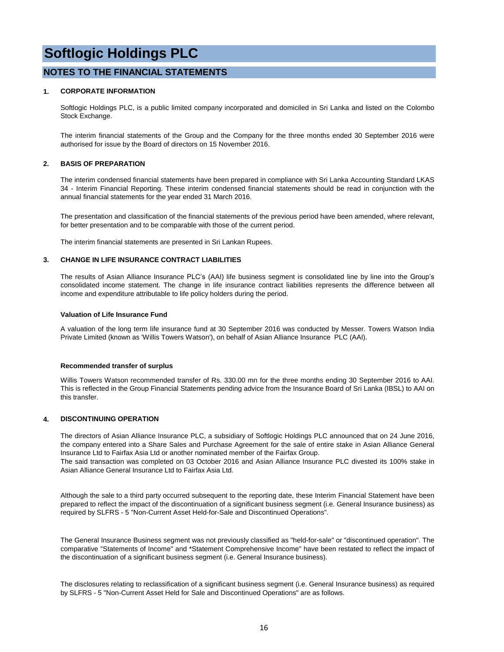## **NOTES TO THE FINANCIAL STATEMENTS**

### **1. CORPORATE INFORMATION**

Softlogic Holdings PLC, is a public limited company incorporated and domiciled in Sri Lanka and listed on the Colombo Stock Exchange.

The interim financial statements of the Group and the Company for the three months ended 30 September 2016 were authorised for issue by the Board of directors on 15 November 2016.

## **2. BASIS OF PREPARATION**

The interim condensed financial statements have been prepared in compliance with Sri Lanka Accounting Standard LKAS 34 - Interim Financial Reporting. These interim condensed financial statements should be read in conjunction with the annual financial statements for the year ended 31 March 2016.

The presentation and classification of the financial statements of the previous period have been amended, where relevant, for better presentation and to be comparable with those of the current period.

The interim financial statements are presented in Sri Lankan Rupees.

### **3. CHANGE IN LIFE INSURANCE CONTRACT LIABILITIES**

The results of Asian Alliance Insurance PLC's (AAI) life business segment is consolidated line by line into the Group's consolidated income statement. The change in life insurance contract liabilities represents the difference between all income and expenditure attributable to life policy holders during the period.

#### **Valuation of Life Insurance Fund**

A valuation of the long term life insurance fund at 30 September 2016 was conducted by Messer. Towers Watson India Private Limited (known as 'Willis Towers Watson'), on behalf of Asian Alliance Insurance PLC (AAI).

### **Recommended transfer of surplus**

Willis Towers Watson recommended transfer of Rs. 330.00 mn for the three months ending 30 September 2016 to AAI. This is reflected in the Group Financial Statements pending advice from the Insurance Board of Sri Lanka (IBSL) to AAI on this transfer.

### **4. DISCONTINUING OPERATION**

The directors of Asian Alliance Insurance PLC, a subsidiary of Softlogic Holdings PLC announced that on 24 June 2016, the company entered into a Share Sales and Purchase Agreement for the sale of entire stake in Asian Alliance General Insurance Ltd to Fairfax Asia Ltd or another nominated member of the Fairfax Group.

The said transaction was completed on 03 October 2016 and Asian Alliance Insurance PLC divested its 100% stake in Asian Alliance General Insurance Ltd to Fairfax Asia Ltd.

Although the sale to a third party occurred subsequent to the reporting date, these Interim Financial Statement have been prepared to reflect the impact of the discontinuation of a significant business segment (i.e. General Insurance business) as required by SLFRS - 5 "Non-Current Asset Held-for-Sale and Discontinued Operations".

The General Insurance Business segment was not previously classified as "held-for-sale" or "discontinued operation". The comparative "Statements of Income" and \*Statement Comprehensive Income" have been restated to reflect the impact of the discontinuation of a significant business segment (i.e. General Insurance business).

The disclosures relating to reclassification of a significant business segment (i.e. General Insurance business) as required by SLFRS - 5 "Non-Current Asset Held for Sale and Discontinued Operations" are as follows.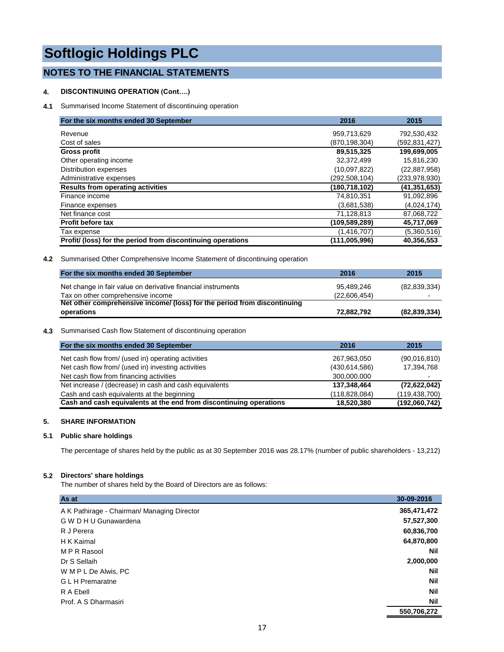## **NOTES TO THE FINANCIAL STATEMENTS**

## **4. DISCONTINUING OPERATION (Cont….)**

**4.1** Summarised Income Statement of discontinuing operation

| For the six months ended 30 September                       | 2016            | 2015           |
|-------------------------------------------------------------|-----------------|----------------|
| Revenue                                                     | 959,713,629     | 792,530,432    |
| Cost of sales                                               | (870, 198, 304) | (592,831,427)  |
| <b>Gross profit</b>                                         | 89,515,325      | 199,699,005    |
| Other operating income                                      | 32,372,499      | 15,816,230     |
| Distribution expenses                                       | (10,097,822)    | (22, 887, 958) |
| Administrative expenses                                     | (292, 508, 104) | (233,978,930)  |
| <b>Results from operating activities</b>                    | (180, 718, 102) | (41, 351, 653) |
| Finance income                                              | 74,810,351      | 91,092,896     |
| Finance expenses                                            | (3,681,538)     | (4,024,174)    |
| Net finance cost                                            | 71,128,813      | 87,068,722     |
| <b>Profit before tax</b>                                    | (109, 589, 289) | 45,717,069     |
| Tax expense                                                 | (1,416,707)     | (5,360,516)    |
| Profit/ (loss) for the period from discontinuing operations | (111,005,996)   | 40,356,553     |

## **4.2** Summarised Other Comprehensive Income Statement of discontinuing operation

| For the six months ended 30 September                                    | 2016         | 2015                     |
|--------------------------------------------------------------------------|--------------|--------------------------|
| Net change in fair value on derivative financial instruments             | 95.489.246   | (82, 839, 334)           |
| Tax on other comprehensive income                                        | (22.606.454) | $\overline{\phantom{0}}$ |
| Net other comprehensive income/ (loss) for the period from discontinuing |              |                          |
| operations                                                               | 72,882,792   | (82,839,334)             |

## **4.3** Summarised Cash flow Statement of discontinuing operation

| For the six months ended 30 September                              | 2016          | 2015           |
|--------------------------------------------------------------------|---------------|----------------|
| Net cash flow from/ (used in) operating activities                 | 267,963,050   | (90,016,810)   |
| Net cash flow from/ (used in) investing activities                 | (430.614,586) | 17,394,768     |
| Net cash flow from financing activities                            | 300,000,000   |                |
| Net increase / (decrease) in cash and cash equivalents             | 137,348,464   | (72, 622, 042) |
| Cash and cash equivalents at the beginning                         | (118,828,084) | (119,438,700)  |
| Cash and cash equivalents at the end from discontinuing operations | 18,520,380    | (192,060,742)  |

## **5. SHARE INFORMATION**

## **5.1 Public share holdings**

The percentage of shares held by the public as at 30 September 2016 was 28.17% (number of public shareholders - 13,212)

## **5.2 Directors' share holdings**

The number of shares held by the Board of Directors are as follows:

| As at                                       | 30-09-2016  |
|---------------------------------------------|-------------|
| A K Pathirage - Chairman/ Managing Director | 365,471,472 |
| G W D H U Gunawardena                       | 57,527,300  |
| R J Perera                                  | 60,836,700  |
| H K Kaimal                                  | 64,870,800  |
| MPR Rasool                                  | Nil         |
| Dr S Sellaih                                | 2,000,000   |
| W M P L De Alwis, PC                        | Nil         |
| <b>GLH</b> Premaratne                       | <b>Nil</b>  |
| R A Ebell                                   | <b>Nil</b>  |
| Prof. A S Dharmasiri                        | Nil         |
|                                             | 550,706,272 |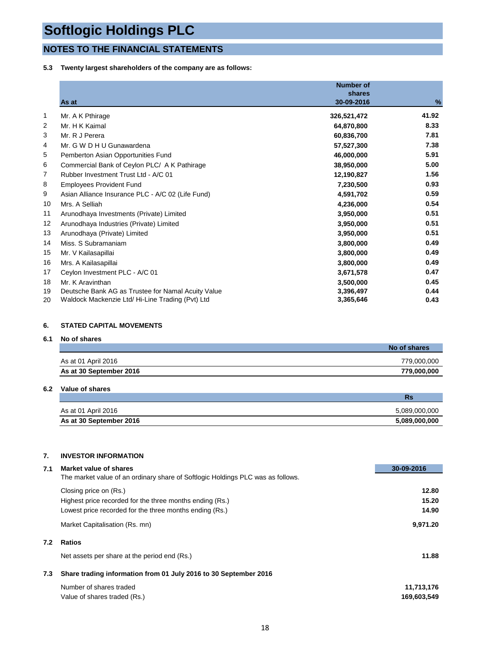## **NOTES TO THE FINANCIAL STATEMENTS**

## **5.3 Twenty largest shareholders of the company are as follows:**

|                | As at                                              | <b>Number of</b><br>shares<br>30-09-2016 | %     |
|----------------|----------------------------------------------------|------------------------------------------|-------|
| $\mathbf{1}$   | Mr. A K Pthirage                                   | 326,521,472                              | 41.92 |
| 2              | Mr. H K Kaimal                                     | 64,870,800                               | 8.33  |
| 3              | Mr. R J Perera                                     | 60,836,700                               | 7.81  |
| 4              | Mr. G W D H U Gunawardena                          | 57,527,300                               | 7.38  |
| 5              | Pemberton Asian Opportunities Fund                 | 46,000,000                               | 5.91  |
| 6              | Commercial Bank of Ceylon PLC/ A K Pathirage       | 38,950,000                               | 5.00  |
| $\overline{7}$ | Rubber Investment Trust Ltd - A/C 01               | 12,190,827                               | 1.56  |
| 8              | <b>Employees Provident Fund</b>                    | 7,230,500                                | 0.93  |
| 9              | Asian Alliance Insurance PLC - A/C 02 (Life Fund)  | 4,591,702                                | 0.59  |
| 10             | Mrs. A Selliah                                     | 4,236,000                                | 0.54  |
| 11             | Arunodhaya Investments (Private) Limited           | 3,950,000                                | 0.51  |
| 12             | Arunodhaya Industries (Private) Limited            | 3,950,000                                | 0.51  |
| 13             | Arunodhaya (Private) Limited                       | 3,950,000                                | 0.51  |
| 14             | Miss. S Subramaniam                                | 3,800,000                                | 0.49  |
| 15             | Mr. V Kailasapillai                                | 3,800,000                                | 0.49  |
| 16             | Mrs. A Kailasapillai                               | 3,800,000                                | 0.49  |
| 17             | Ceylon Investment PLC - A/C 01                     | 3,671,578                                | 0.47  |
| 18             | Mr. K Aravinthan                                   | 3,500,000                                | 0.45  |
| 19             | Deutsche Bank AG as Trustee for Namal Acuity Value | 3,396,497                                | 0.44  |
| 20             | Waldock Mackenzie Ltd/ Hi-Line Trading (Pvt) Ltd   | 3,365,646                                | 0.43  |

## **6. STATED CAPITAL MOVEMENTS**

## **6.1 No of shares**

|                         | No of shares |
|-------------------------|--------------|
| As at 01 April 2016     | 779.000.000  |
| As at 30 September 2016 | 779.000.000  |

## **6.2 Value of shares**

|                         | Rs            |
|-------------------------|---------------|
| As at 01 April 2016     | 5,089,000,000 |
| As at 30 September 2016 | 5,089,000,000 |

## **7. INVESTOR INFORMATION**

| 7.1 | Market value of shares                                                          | 30-09-2016  |
|-----|---------------------------------------------------------------------------------|-------------|
|     | The market value of an ordinary share of Softlogic Holdings PLC was as follows. |             |
|     | Closing price on (Rs.)                                                          | 12.80       |
|     | Highest price recorded for the three months ending (Rs.)                        | 15.20       |
|     | Lowest price recorded for the three months ending (Rs.)                         | 14.90       |
|     | Market Capitalisation (Rs. mn)                                                  | 9.971.20    |
| 7.2 | <b>Ratios</b>                                                                   |             |
|     | Net assets per share at the period end (Rs.)                                    | 11.88       |
| 7.3 | Share trading information from 01 July 2016 to 30 September 2016                |             |
|     | Number of shares traded                                                         | 11,713,176  |
|     | Value of shares traded (Rs.)                                                    | 169,603,549 |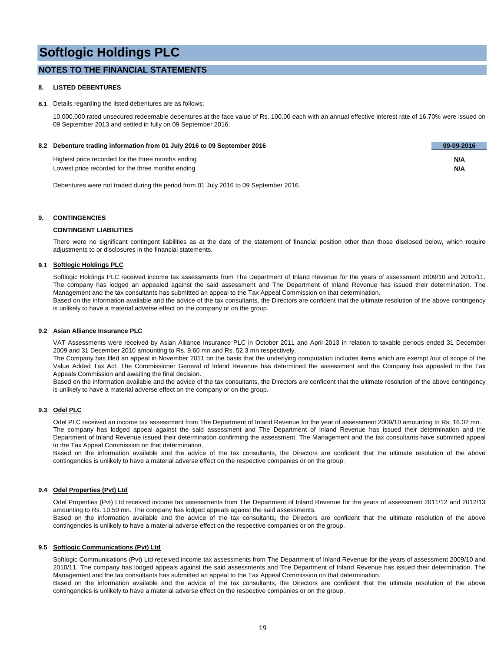## **NOTES TO THE FINANCIAL STATEMENTS**

### **8. LISTED DEBENTURES**

#### **8.1** Details regarding the listed debentures are as follows;

10,000,000 rated unsecured redeemable debentures at the face value of Rs. 100.00 each with an annual effective interest rate of 16.70% were issued on 09 September 2013 and settled in fully on 09 September 2016.

| 8.2 Debenture trading information from 01 July 2016 to 09 September 2016 | 09-09-2016 |
|--------------------------------------------------------------------------|------------|
| Highest price recorded for the three months ending                       | N/A        |
| Lowest price recorded for the three months ending                        | N/A        |

Debentures were not traded during the period from 01 July 2016 to 09 September 2016.

### **9. CONTINGENCIES**

#### **CONTINGENT LIABILITIES**

There were no significant contingent liabilities as at the date of the statement of financial position other than those disclosed below, which require adjustments to or disclosures in the financial statements.

#### **9.1 Softlogic Holdings PLC**

Softlogic Holdings PLC received income tax assessments from The Department of Inland Revenue for the years of assessment 2009/10 and 2010/11. The company has lodged an appealed against the said assessment and The Department of Inland Revenue has issued their determination. The Management and the tax consultants has submitted an appeal to the Tax Appeal Commission on that determination. Based on the information available and the advice of the tax consultants, the Directors are confident that the ultimate resolution of the above contingency is unlikely to have a material adverse effect on the company or on the group.

#### **9.2 Asian Alliance Insurance PLC**

VAT Assessments were received by Asian Alliance Insurance PLC in October 2011 and April 2013 in relation to taxable periods ended 31 December 2009 and 31 December 2010 amounting to Rs. 9.60 mn and Rs. 52.3 mn respectively.

The Company has filed an appeal in November 2011 on the basis that the underlying computation includes items which are exempt /out of scope of the Value Added Tax Act. The Commissioner General of Inland Revenue has determined the assessment and the Company has appealed to the Tax Appeals Commission and awaiting the final decision.

Based on the information available and the advice of the tax consultants, the Directors are confident that the ultimate resolution of the above contingency is unlikely to have a material adverse effect on the company or on the group.

#### **9.3 Odel PLC**

Odel PLC received an income tax assessment from The Department of Inland Revenue for the year of assessment 2009/10 amounting to Rs. 16.02 mn. The company has lodged appeal against the said assessment and The Department of Inland Revenue has issued their determination and the Department of Inland Revenue issued their determination confirming the assessment. The Management and the tax consultants have submitted appeal to the Tax Appeal Commission on that determination.

Based on the information available and the advice of the tax consultants, the Directors are confident that the ultimate resolution of the above contingencies is unlikely to have a material adverse effect on the respective companies or on the group.

### **9.4 Odel Properties (Pvt) Ltd**

Odel Properties (Pvt) Ltd received income tax assessments from The Department of Inland Revenue for the years of assessment 2011/12 and 2012/13 amounting to Rs. 10.50 mn. The company has lodged appeals against the said assessments.

Based on the information available and the advice of the tax consultants, the Directors are confident that the ultimate resolution of the above contingencies is unlikely to have a material adverse effect on the respective companies or on the group.

#### **9.5 Softlogic Communications (Pvt) Ltd**

Softlogic Communications (Pvt) Ltd received income tax assessments from The Department of Inland Revenue for the years of assessment 2009/10 and 2010/11. The company has lodged appeals against the said assessments and The Department of Inland Revenue has issued their determination. The Management and the tax consultants has submitted an appeal to the Tax Appeal Commission on that determination.

Based on the information available and the advice of the tax consultants, the Directors are confident that the ultimate resolution of the above contingencies is unlikely to have a material adverse effect on the respective companies or on the group.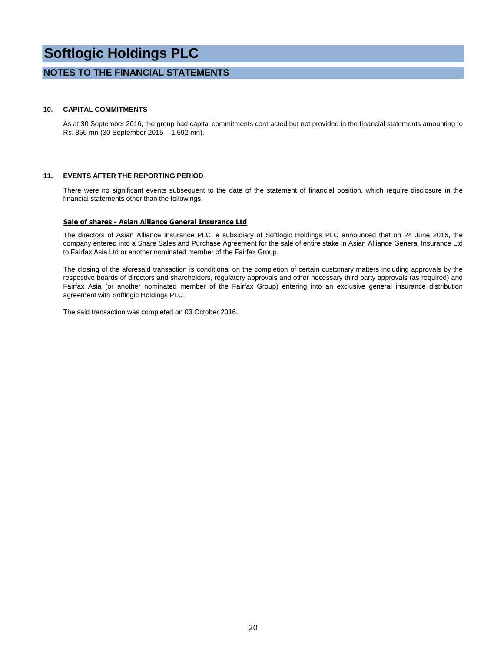## **NOTES TO THE FINANCIAL STATEMENTS**

### **10. CAPITAL COMMITMENTS**

As at 30 September 2016, the group had capital commitments contracted but not provided in the financial statements amounting to Rs. 855 mn (30 September 2015 - 1,592 mn).

### **11. EVENTS AFTER THE REPORTING PERIOD**

There were no significant events subsequent to the date of the statement of financial position, which require disclosure in the financial statements other than the followings.

## **Sale of shares - Asian Alliance General Insurance Ltd**

The directors of Asian Alliance Insurance PLC, a subsidiary of Softlogic Holdings PLC announced that on 24 June 2016, the company entered into a Share Sales and Purchase Agreement for the sale of entire stake in Asian Alliance General Insurance Ltd to Fairfax Asia Ltd or another nominated member of the Fairfax Group.

The closing of the aforesaid transaction is conditional on the completion of certain customary matters including approvals by the respective boards of directors and shareholders, regulatory approvals and other necessary third party approvals (as required) and Fairfax Asia (or another nominated member of the Fairfax Group) entering into an exclusive general insurance distribution agreement with Softlogic Holdings PLC.

The said transaction was completed on 03 October 2016.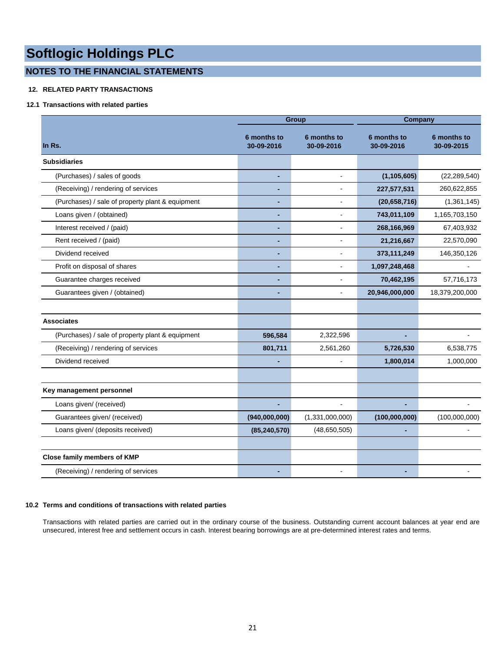## **NOTES TO THE FINANCIAL STATEMENTS**

## **12. RELATED PARTY TRANSACTIONS**

## **12.1 Transactions with related parties**

|                                                  |                           | <b>Group</b>              |                                  | Company                   |  |
|--------------------------------------------------|---------------------------|---------------------------|----------------------------------|---------------------------|--|
| In Rs.                                           | 6 months to<br>30-09-2016 | 6 months to<br>30-09-2016 | <b>6 months to</b><br>30-09-2016 | 6 months to<br>30-09-2015 |  |
| <b>Subsidiaries</b>                              |                           |                           |                                  |                           |  |
| (Purchases) / sales of goods                     | ٠                         | $\blacksquare$            | (1, 105, 605)                    | (22, 289, 540)            |  |
| (Receiving) / rendering of services              |                           | ä,                        | 227,577,531                      | 260,622,855               |  |
| (Purchases) / sale of property plant & equipment |                           | $\blacksquare$            | (20,658,716)                     | (1,361,145)               |  |
| Loans given / (obtained)                         | ٠                         | $\blacksquare$            | 743,011,109                      | 1,165,703,150             |  |
| Interest received / (paid)                       |                           | $\overline{a}$            | 268,166,969                      | 67,403,932                |  |
| Rent received / (paid)                           |                           | ä,                        | 21,216,667                       | 22,570,090                |  |
| Dividend received                                | ٠                         | ä,                        | 373,111,249                      | 146,350,126               |  |
| Profit on disposal of shares                     |                           | ä,                        | 1,097,248,468                    |                           |  |
| Guarantee charges received                       |                           | ä,                        | 70,462,195                       | 57,716,173                |  |
| Guarantees given / (obtained)                    | ٠                         | $\blacksquare$            | 20,946,000,000                   | 18,379,200,000            |  |
|                                                  |                           |                           |                                  |                           |  |
| <b>Associates</b>                                |                           |                           |                                  |                           |  |
| (Purchases) / sale of property plant & equipment | 596,584                   | 2,322,596                 | ٠                                |                           |  |
| (Receiving) / rendering of services              | 801,711                   | 2,561,260                 | 5,726,530                        | 6,538,775                 |  |
| Dividend received                                |                           |                           | 1,800,014                        | 1,000,000                 |  |
|                                                  |                           |                           |                                  |                           |  |
| Key management personnel                         |                           |                           |                                  |                           |  |
| Loans given/ (received)                          | ÷,                        | L.                        | ä,                               |                           |  |
| Guarantees given/ (received)                     | (940,000,000)             | (1,331,000,000)           | (100,000,000)                    | (100,000,000)             |  |
| Loans given/ (deposits received)                 | (85, 240, 570)            | (48, 650, 505)            |                                  |                           |  |
|                                                  |                           |                           |                                  |                           |  |
| <b>Close family members of KMP</b>               |                           |                           |                                  |                           |  |
| (Receiving) / rendering of services              |                           | $\overline{a}$            |                                  |                           |  |

### **10.2 Terms and conditions of transactions with related parties**

Transactions with related parties are carried out in the ordinary course of the business. Outstanding current account balances at year end are unsecured, interest free and settlement occurs in cash. Interest bearing borrowings are at pre-determined interest rates and terms.